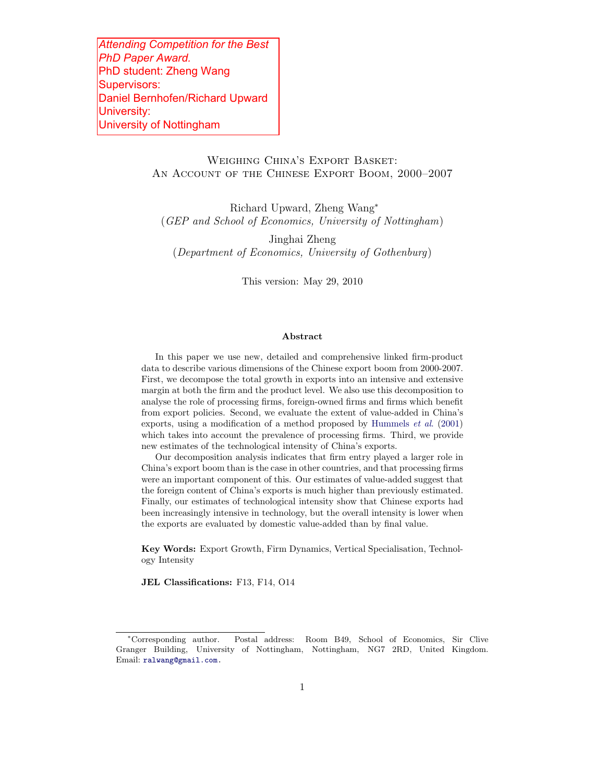*Attending Competition for the Best PhD Paper Award.* PhD student: Zheng Wang Supervisors: Daniel Bernhofen/Richard Upward University: University of Nottingham

# Weighing China's Export Basket: An Account of the Chinese Export Boom, 2000–2007

Richard Upward, Zheng Wang<sup>∗</sup> (GEP and School of Economics, University of Nottingham)

Jinghai Zheng (Department of Economics, University of Gothenburg)

This version: May 29, 2010

#### **Abstract**

In this paper we use new, detailed and comprehensive linked firm-product data to describe various dimensions of the Chinese export boom from 2000-2007. First, we decompose the total growth in exports into an intensive and extensive margin at both the firm and the product level. We also use this decomposition to analyse the role of processing firms, foreign-owned firms and firms which benefit from export policies. Second, we evaluate the extent of value-added in China's exports, using a modification of a method proposed by Hummels et al. (2001) which takes into account the prevalence of processing firms. Third, we provide new estimates of the technological intensity of China's exports.

Our decomposition analysis indicates that firm entry played a larger role in China's export boom than is the case in other countries, and that processing firms were an important component of this. Our estimates of value-added suggest that the foreign content of China's exports is much higher than previously estimated. Finally, our estimates of technological intensity show that Chinese exports had been increasingly intensive in technology, but the overall intensity is lower when the exports are evaluated by domestic value-added than by final value.

**Key Words:** Export Growth, Firm Dynamics, Vertical Specialisation, Technology Intensity

**JEL Classifications:** F13, F14, O14

<sup>∗</sup>Corresponding author. Postal address: Room B49, School of Economics, Sir Clive Granger Building, University of Nottingham, Nottingham, NG7 2RD, United Kingdom. Email: ralwang@gmail.com.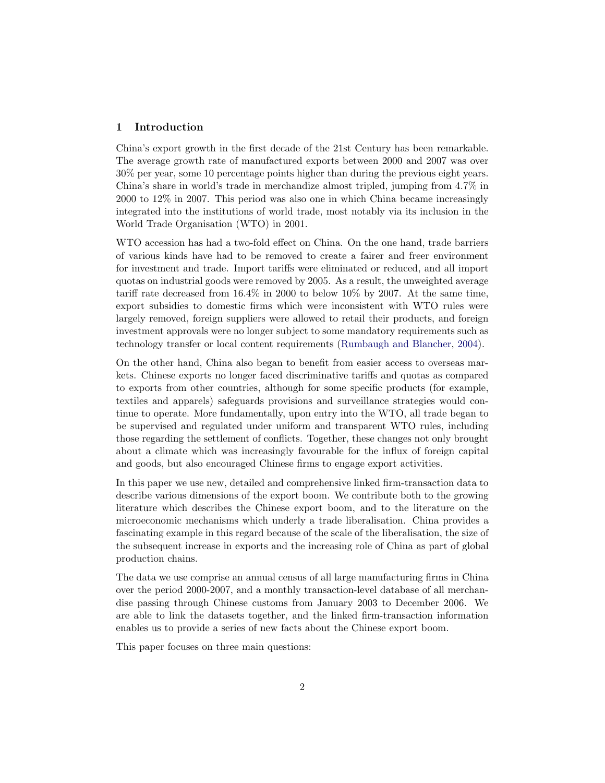#### **1 Introduction**

China's export growth in the first decade of the 21st Century has been remarkable. The average growth rate of manufactured exports between 2000 and 2007 was over 30% per year, some 10 percentage points higher than during the previous eight years. China's share in world's trade in merchandize almost tripled, jumping from 4.7% in 2000 to 12% in 2007. This period was also one in which China became increasingly integrated into the institutions of world trade, most notably via its inclusion in the World Trade Organisation (WTO) in 2001.

WTO accession has had a two-fold effect on China. On the one hand, trade barriers of various kinds have had to be removed to create a fairer and freer environment for investment and trade. Import tariffs were eliminated or reduced, and all import quotas on industrial goods were removed by 2005. As a result, the unweighted average tariff rate decreased from 16.4% in 2000 to below 10% by 2007. At the same time, export subsidies to domestic firms which were inconsistent with WTO rules were largely removed, foreign suppliers were allowed to retail their products, and foreign investment approvals were no longer subject to some mandatory requirements such as technology transfer or local content requirements (Rumbaugh and Blancher, 2004).

On the other hand, China also began to benefit from easier access to overseas markets. Chinese exports no longer faced discriminative tariffs and quotas as compared to exports from other countries, although for some specific products (for example, textiles and apparels) safeguards provisions and surveillance strategies would continue to operate. More fundamentally, upon entry into the WTO, all trade began to be supervised and regulated under uniform and transparent WTO rules, including those regarding the settlement of conflicts. Together, these changes not only brought about a climate which was increasingly favourable for the influx of foreign capital and goods, but also encouraged Chinese firms to engage export activities.

In this paper we use new, detailed and comprehensive linked firm-transaction data to describe various dimensions of the export boom. We contribute both to the growing literature which describes the Chinese export boom, and to the literature on the microeconomic mechanisms which underly a trade liberalisation. China provides a fascinating example in this regard because of the scale of the liberalisation, the size of the subsequent increase in exports and the increasing role of China as part of global production chains.

The data we use comprise an annual census of all large manufacturing firms in China over the period 2000-2007, and a monthly transaction-level database of all merchandise passing through Chinese customs from January 2003 to December 2006. We are able to link the datasets together, and the linked firm-transaction information enables us to provide a series of new facts about the Chinese export boom.

This paper focuses on three main questions: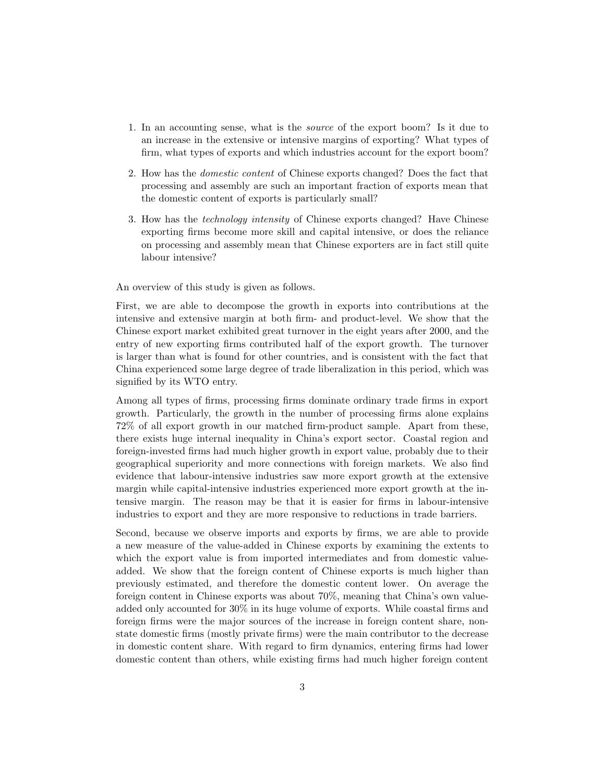- 1. In an accounting sense, what is the source of the export boom? Is it due to an increase in the extensive or intensive margins of exporting? What types of firm, what types of exports and which industries account for the export boom?
- 2. How has the domestic content of Chinese exports changed? Does the fact that processing and assembly are such an important fraction of exports mean that the domestic content of exports is particularly small?
- 3. How has the technology intensity of Chinese exports changed? Have Chinese exporting firms become more skill and capital intensive, or does the reliance on processing and assembly mean that Chinese exporters are in fact still quite labour intensive?

An overview of this study is given as follows.

First, we are able to decompose the growth in exports into contributions at the intensive and extensive margin at both firm- and product-level. We show that the Chinese export market exhibited great turnover in the eight years after 2000, and the entry of new exporting firms contributed half of the export growth. The turnover is larger than what is found for other countries, and is consistent with the fact that China experienced some large degree of trade liberalization in this period, which was signified by its WTO entry.

Among all types of firms, processing firms dominate ordinary trade firms in export growth. Particularly, the growth in the number of processing firms alone explains 72% of all export growth in our matched firm-product sample. Apart from these, there exists huge internal inequality in China's export sector. Coastal region and foreign-invested firms had much higher growth in export value, probably due to their geographical superiority and more connections with foreign markets. We also find evidence that labour-intensive industries saw more export growth at the extensive margin while capital-intensive industries experienced more export growth at the intensive margin. The reason may be that it is easier for firms in labour-intensive industries to export and they are more responsive to reductions in trade barriers.

Second, because we observe imports and exports by firms, we are able to provide a new measure of the value-added in Chinese exports by examining the extents to which the export value is from imported intermediates and from domestic valueadded. We show that the foreign content of Chinese exports is much higher than previously estimated, and therefore the domestic content lower. On average the foreign content in Chinese exports was about 70%, meaning that China's own valueadded only accounted for 30% in its huge volume of exports. While coastal firms and foreign firms were the major sources of the increase in foreign content share, nonstate domestic firms (mostly private firms) were the main contributor to the decrease in domestic content share. With regard to firm dynamics, entering firms had lower domestic content than others, while existing firms had much higher foreign content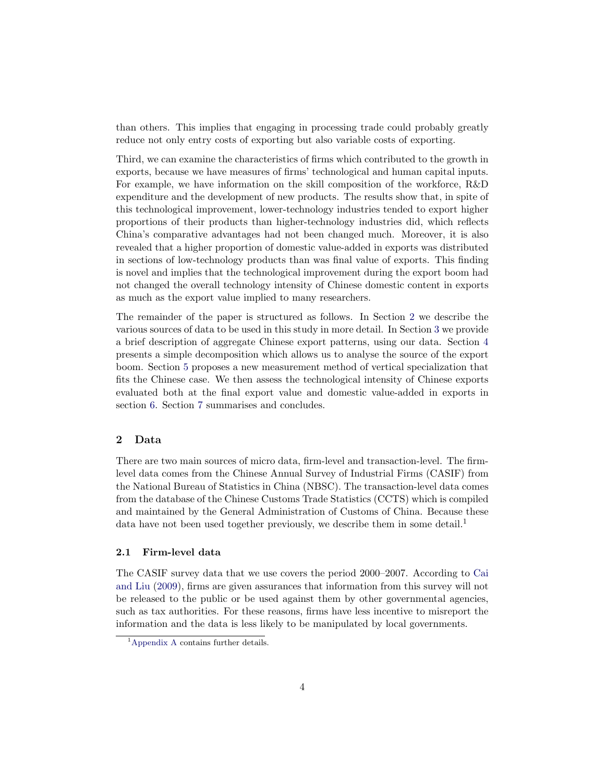than others. This implies that engaging in processing trade could probably greatly reduce not only entry costs of exporting but also variable costs of exporting.

Third, we can examine the characteristics of firms which contributed to the growth in exports, because we have measures of firms' technological and human capital inputs. For example, we have information on the skill composition of the workforce, R&D expenditure and the development of new products. The results show that, in spite of this technological improvement, lower-technology industries tended to export higher proportions of their products than higher-technology industries did, which reflects China's comparative advantages had not been changed much. Moreover, it is also revealed that a higher proportion of domestic value-added in exports was distributed in sections of low-technology products than was final value of exports. This finding is novel and implies that the technological improvement during the export boom had not changed the overall technology intensity of Chinese domestic content in exports as much as the export value implied to many researchers.

The remainder of the paper is structured as follows. In Section 2 we describe the various sources of data to be used in this study in more detail. In Section 3 we provide a brief description of aggregate Chinese export patterns, using our data. Section 4 presents a simple decomposition which allows us to analyse the source of the export boom. Section 5 proposes a new measurement method of vertical specialization that fits the Chinese case. We then assess the technological intensity of Chinese exports evaluated both at the final export value and domestic value-added in exports in section 6. Section 7 summarises and concludes.

# **2 Data**

There are two main sources of micro data, firm-level and transaction-level. The firmlevel data comes from the Chinese Annual Survey of Industrial Firms (CASIF) from the National Bureau of Statistics in China (NBSC). The transaction-level data comes from the database of the Chinese Customs Trade Statistics (CCTS) which is compiled and maintained by the General Administration of Customs of China. Because these data have not been used together previously, we describe them in some detail.<sup>1</sup>

### **2.1 Firm-level data**

The CASIF survey data that we use covers the period 2000–2007. According to Cai and Liu (2009), firms are given assurances that information from this survey will not be released to the public or be used against them by other governmental agencies, such as tax authorities. For these reasons, firms have less incentive to misreport the information and the data is less likely to be manipulated by local governments.

<sup>&</sup>lt;sup>1</sup>Appendix A contains further details.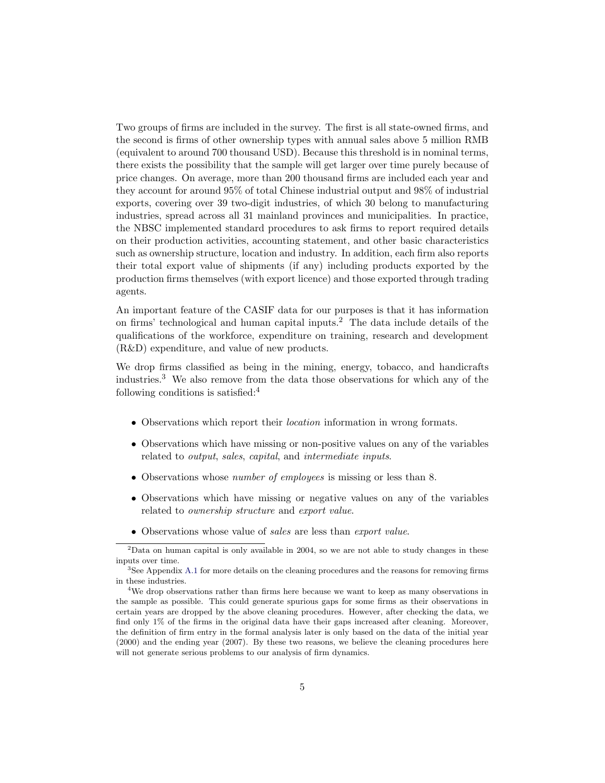Two groups of firms are included in the survey. The first is all state-owned firms, and the second is firms of other ownership types with annual sales above 5 million RMB (equivalent to around 700 thousand USD). Because this threshold is in nominal terms, there exists the possibility that the sample will get larger over time purely because of price changes. On average, more than 200 thousand firms are included each year and they account for around 95% of total Chinese industrial output and 98% of industrial exports, covering over 39 two-digit industries, of which 30 belong to manufacturing industries, spread across all 31 mainland provinces and municipalities. In practice, the NBSC implemented standard procedures to ask firms to report required details on their production activities, accounting statement, and other basic characteristics such as ownership structure, location and industry. In addition, each firm also reports their total export value of shipments (if any) including products exported by the production firms themselves (with export licence) and those exported through trading agents.

An important feature of the CASIF data for our purposes is that it has information on firms' technological and human capital inputs.<sup>2</sup> The data include details of the qualifications of the workforce, expenditure on training, research and development (R&D) expenditure, and value of new products.

We drop firms classified as being in the mining, energy, tobacco, and handicrafts industries.<sup>3</sup> We also remove from the data those observations for which any of the following conditions is satisfied: $4$ 

- ∙ Observations which report their location information in wrong formats.
- ∙ Observations which have missing or non-positive values on any of the variables related to output, sales, capital, and intermediate inputs.
- ∙ Observations whose number of employees is missing or less than 8.
- ∙ Observations which have missing or negative values on any of the variables related to ownership structure and export value.
- ∙ Observations whose value of sales are less than export value.

 $2$ Data on human capital is only available in 2004, so we are not able to study changes in these inputs over time.

<sup>&</sup>lt;sup>3</sup>See Appendix A.1 for more details on the cleaning procedures and the reasons for removing firms in these industries.

<sup>4</sup>We drop observations rather than firms here because we want to keep as many observations in the sample as possible. This could generate spurious gaps for some firms as their observations in certain years are dropped by the above cleaning procedures. However, after checking the data, we find only 1% of the firms in the original data have their gaps increased after cleaning. Moreover, the definition of firm entry in the formal analysis later is only based on the data of the initial year (2000) and the ending year (2007). By these two reasons, we believe the cleaning procedures here will not generate serious problems to our analysis of firm dynamics.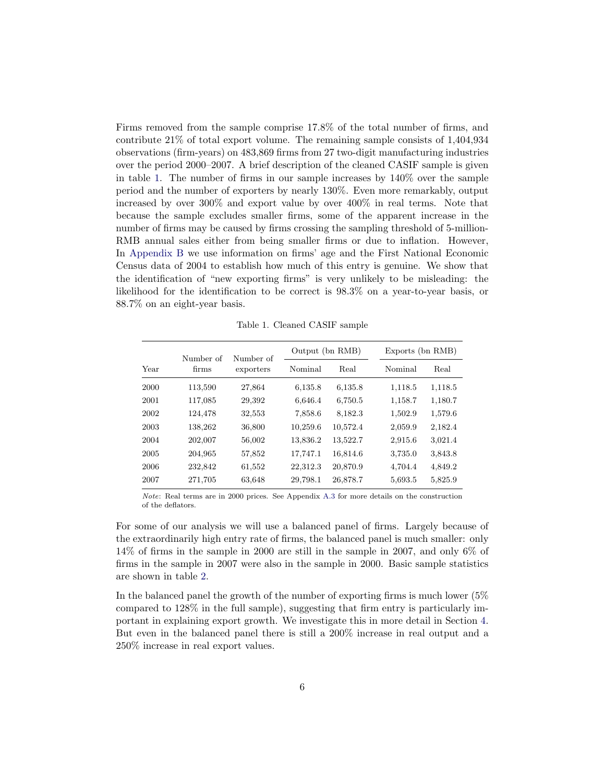Firms removed from the sample comprise 17.8% of the total number of firms, and contribute 21% of total export volume. The remaining sample consists of 1,404,934 observations (firm-years) on 483,869 firms from 27 two-digit manufacturing industries over the period 2000–2007. A brief description of the cleaned CASIF sample is given in table 1. The number of firms in our sample increases by 140% over the sample period and the number of exporters by nearly 130%. Even more remarkably, output increased by over 300% and export value by over 400% in real terms. Note that because the sample excludes smaller firms, some of the apparent increase in the number of firms may be caused by firms crossing the sampling threshold of 5-million-RMB annual sales either from being smaller firms or due to inflation. However, In Appendix B we use information on firms' age and the First National Economic Census data of 2004 to establish how much of this entry is genuine. We show that the identification of "new exporting firms" is very unlikely to be misleading: the likelihood for the identification to be correct is 98.3% on a year-to-year basis, or 88.7% on an eight-year basis.

Table 1. Cleaned CASIF sample

|      | Number of | Number of | Output (bn RMB) |          | Exports (bn RMB) |         |
|------|-----------|-----------|-----------------|----------|------------------|---------|
| Year | firms     | exporters | Nominal         | Real     | Nominal          | Real    |
| 2000 | 113,590   | 27,864    | 6,135.8         | 6,135.8  | 1,118.5          | 1,118.5 |
| 2001 | 117,085   | 29,392    | 6,646.4         | 6,750.5  | 1,158.7          | 1,180.7 |
| 2002 | 124,478   | 32,553    | 7,858.6         | 8,182.3  | 1,502.9          | 1,579.6 |
| 2003 | 138,262   | 36,800    | 10,259.6        | 10,572.4 | 2,059.9          | 2,182.4 |
| 2004 | 202,007   | 56,002    | 13,836.2        | 13,522.7 | 2,915.6          | 3,021.4 |
| 2005 | 204,965   | 57,852    | 17,747.1        | 16,814.6 | 3,735.0          | 3,843.8 |
| 2006 | 232,842   | 61,552    | 22,312.3        | 20,870.9 | 4,704.4          | 4,849.2 |
| 2007 | 271,705   | 63,648    | 29,798.1        | 26,878.7 | 5,693.5          | 5,825.9 |

Note: Real terms are in 2000 prices. See Appendix A.3 for more details on the construction of the deflators.

For some of our analysis we will use a balanced panel of firms. Largely because of the extraordinarily high entry rate of firms, the balanced panel is much smaller: only 14% of firms in the sample in 2000 are still in the sample in 2007, and only 6% of firms in the sample in 2007 were also in the sample in 2000. Basic sample statistics are shown in table 2.

In the balanced panel the growth of the number of exporting firms is much lower (5% compared to 128% in the full sample), suggesting that firm entry is particularly important in explaining export growth. We investigate this in more detail in Section 4. But even in the balanced panel there is still a 200% increase in real output and a 250% increase in real export values.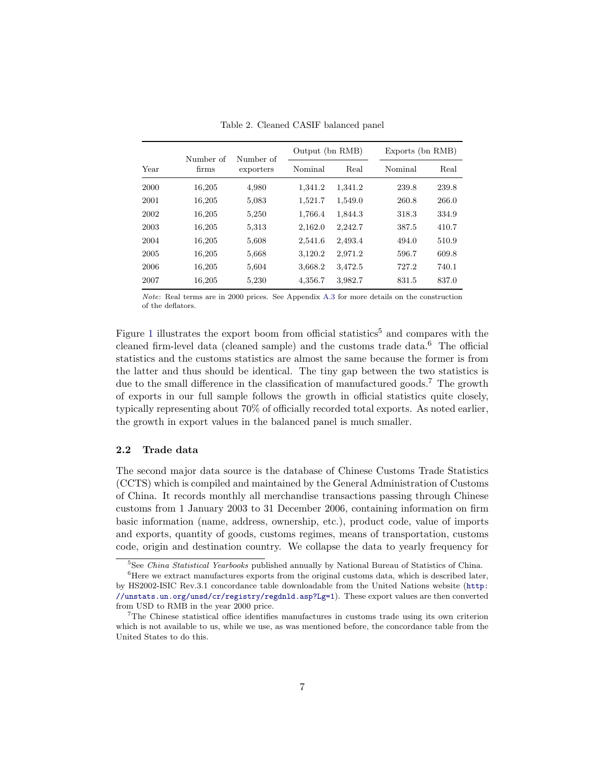|      | Number of | Number of |         | Output (bn RMB) |         | Exports (bn RMB) |
|------|-----------|-----------|---------|-----------------|---------|------------------|
| Year | firms     | exporters | Nominal | Real            | Nominal | Real             |
| 2000 | 16,205    | 4,980     | 1,341.2 | 1,341.2         | 239.8   | 239.8            |
| 2001 | 16,205    | 5,083     | 1,521.7 | 1,549.0         | 260.8   | 266.0            |
| 2002 | 16,205    | 5,250     | 1,766.4 | 1,844.3         | 318.3   | 334.9            |
| 2003 | 16,205    | 5,313     | 2,162.0 | 2,242.7         | 387.5   | 410.7            |
| 2004 | 16,205    | 5,608     | 2,541.6 | 2,493.4         | 494.0   | 510.9            |
| 2005 | 16,205    | 5,668     | 3,120.2 | 2,971.2         | 596.7   | 609.8            |
| 2006 | 16,205    | 5,604     | 3,668.2 | 3,472.5         | 727.2   | 740.1            |
| 2007 | 16,205    | 5,230     | 4,356.7 | 3,982.7         | 831.5   | 837.0            |

Table 2. Cleaned CASIF balanced panel

Note: Real terms are in 2000 prices. See Appendix A.3 for more details on the construction of the deflators.

Figure 1 illustrates the export boom from official statistics<sup>5</sup> and compares with the cleaned firm-level data (cleaned sample) and the customs trade data.<sup>6</sup> The official statistics and the customs statistics are almost the same because the former is from the latter and thus should be identical. The tiny gap between the two statistics is due to the small difference in the classification of manufactured goods.<sup>7</sup> The growth of exports in our full sample follows the growth in official statistics quite closely, typically representing about 70% of officially recorded total exports. As noted earlier, the growth in export values in the balanced panel is much smaller.

#### **2.2 Trade data**

The second major data source is the database of Chinese Customs Trade Statistics (CCTS) which is compiled and maintained by the General Administration of Customs of China. It records monthly all merchandise transactions passing through Chinese customs from 1 January 2003 to 31 December 2006, containing information on firm basic information (name, address, ownership, etc.), product code, value of imports and exports, quantity of goods, customs regimes, means of transportation, customs code, origin and destination country. We collapse the data to yearly frequency for

<sup>&</sup>lt;sup>5</sup>See China Statistical Yearbooks published annually by National Bureau of Statistics of China.

 $6$ Here we extract manufactures exports from the original customs data, which is described later, by HS2002-ISIC Rev.3.1 concordance table downloadable from the United Nations website (http: //unstats.un.org/unsd/cr/registry/regdnld.asp?Lg=1). These export values are then converted from USD to RMB in the year 2000 price.

<sup>7</sup>The Chinese statistical office identifies manufactures in customs trade using its own criterion which is not available to us, while we use, as was mentioned before, the concordance table from the United States to do this.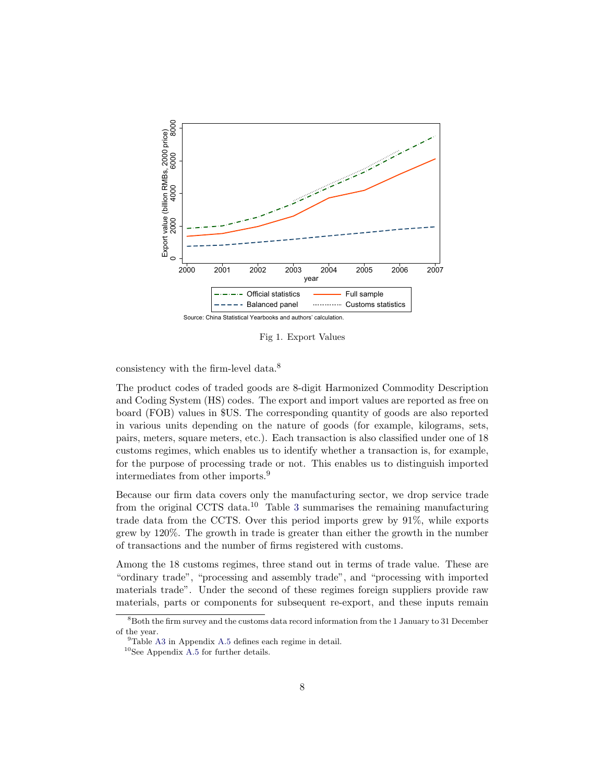

Fig 1. Export Values

consistency with the firm-level data.<sup>8</sup>

The product codes of traded goods are 8-digit Harmonized Commodity Description and Coding System (HS) codes. The export and import values are reported as free on board (FOB) values in \$US. The corresponding quantity of goods are also reported in various units depending on the nature of goods (for example, kilograms, sets, pairs, meters, square meters, etc.). Each transaction is also classified under one of 18 customs regimes, which enables us to identify whether a transaction is, for example, for the purpose of processing trade or not. This enables us to distinguish imported intermediates from other imports.<sup>9</sup>

Because our firm data covers only the manufacturing sector, we drop service trade from the original CCTS data.<sup>10</sup> Table 3 summarises the remaining manufacturing trade data from the CCTS. Over this period imports grew by 91%, while exports grew by 120%. The growth in trade is greater than either the growth in the number of transactions and the number of firms registered with customs.

Among the 18 customs regimes, three stand out in terms of trade value. These are "ordinary trade", "processing and assembly trade", and "processing with imported materials trade". Under the second of these regimes foreign suppliers provide raw materials, parts or components for subsequent re-export, and these inputs remain

<sup>8</sup>Both the firm survey and the customs data record information from the 1 January to 31 December of the year.

<sup>9</sup>Table A3 in Appendix A.5 defines each regime in detail.

 $^{10}\mathrm{See}$  Appendix A.5 for further details.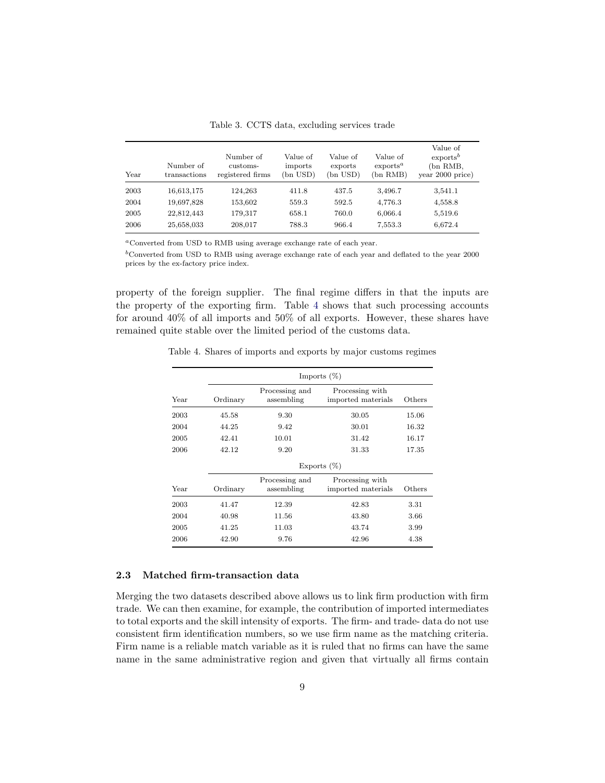| Year | Number of<br>transactions | Number of<br>customs-<br>registered firms | Value of<br>imports<br>(bn USD) | Value of<br>exports<br>(bn USD) | Value of<br>$\alpha$<br>(bn RMB) | Value of<br>exports <sup>b</sup><br>(bn RMB,<br>year 2000 price) |
|------|---------------------------|-------------------------------------------|---------------------------------|---------------------------------|----------------------------------|------------------------------------------------------------------|
| 2003 | 16,613,175                | 124.263                                   | 411.8                           | 437.5                           | 3,496.7                          | 3,541.1                                                          |
| 2004 | 19,697,828                | 153,602                                   | 559.3                           | 592.5                           | 4,776.3                          | 4,558.8                                                          |
| 2005 | 22,812,443                | 179.317                                   | 658.1                           | 760.0                           | 6,066.4                          | 5,519.6                                                          |
| 2006 | 25,658,033                | 208,017                                   | 788.3                           | 966.4                           | 7,553.3                          | 6,672.4                                                          |

Table 3. CCTS data, excluding services trade

Converted from USD to RMB using average exchange rate of each year.

 $\rm^b$  Converted from USD to RMB using average exchange rate of each year and deflated to the year 2000 prices by the ex-factory price index.

property of the foreign supplier. The final regime differs in that the inputs are the property of the exporting firm. Table 4 shows that such processing accounts for around 40% of all imports and 50% of all exports. However, these shares have remained quite stable over the limited period of the customs data.

|      | Imports $(\%)$ |                              |                                       |        |  |  |
|------|----------------|------------------------------|---------------------------------------|--------|--|--|
| Year | Ordinary       | Processing and<br>assembling | Processing with<br>imported materials | Others |  |  |
| 2003 | 45.58          | 9.30                         | 30.05                                 | 15.06  |  |  |
| 2004 | 44.25          | 9.42                         | 30.01                                 | 16.32  |  |  |
| 2005 | 42.41          | 10.01                        | 31.42                                 | 16.17  |  |  |
| 2006 | 42.12          | 9.20                         | 31.33                                 | 17.35  |  |  |

Processing with imported materials Others

Processing and assembling

2003 41.47 12.39 42.83 3.31

Table 4. Shares of imports and exports by major customs regimes

# 2004 40.98 11.56 43.80 3.66 2005 41.25 11.03 43.74 3.99 2006 42.90 9.76 42.96 4.38

#### 2.3 Matched firm-transaction data

Year Ordinary

Merging the two datasets described above allows us to link firm production with firm trade. We can then examine, for example, the contribution of imported intermediates to total exports and the skill intensity of exports. The firm- and trade- data do not use consistent firm identification numbers, so we use firm name as the matching criteria. Firm name is a reliable match variable as it is ruled that no firms can have the same name in the same administrative region and given that virtually all firms contain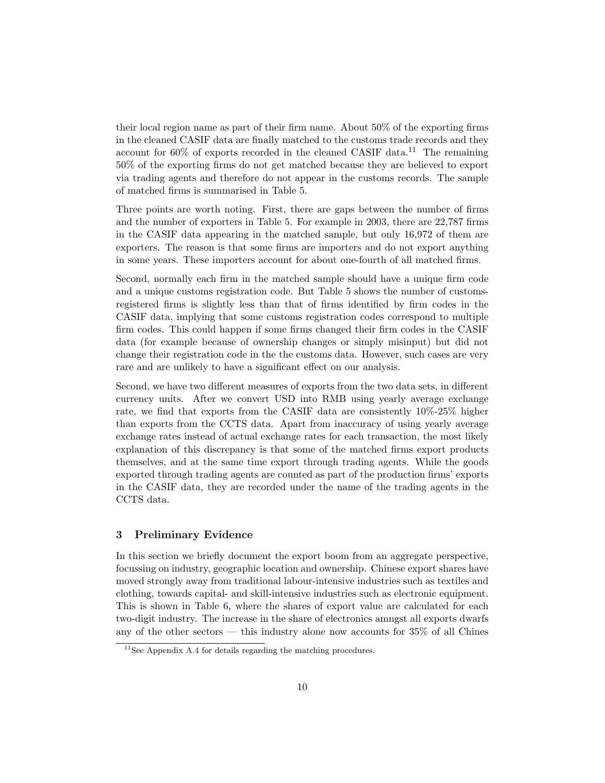their local region name as part of their firm name. About 50% of the exporting firms in the cleaned CASIF data are finally matched to the customs trade records and they account for  $60\%$  of exports recorded in the cleaned CASIF data.<sup>11</sup> The remaining 50% of the exporting firms do not get matched because they are believed to export via trading agents and therefore do not appear in the customs records. The sample of matched firms is summarised in Table 5.

Three points are worth noting. First, there are gaps between the number of firms and the number of exporters in Table 5. For example in 2003, there are 22,787 firms in the CASIF data appearing in the matched sample, but only 16,972 of them are exporters. The reason is that some firms are importers and do not export anything in some years. These importers account for about one-fourth of all matched firms.

Second, normally each firm in the matched sample should have a unique firm code and a unique customs registration code. But Table 5 shows the number of customsregistered firms is slightly less than that of firms identified by firm codes in the CASIF data, implying that some customs registration codes correspond to multiple firm codes. This could happen if some firms changed their firm codes in the CASIF data (for example because of ownership changes or simply misinput) but did not change their registration code in the the customs data. However, such cases are very rare and are unlikely to have a significant effect on our analysis.

Second, we have two different measures of exports from the two data sets, in different currency units. After we convert USD into RMB using yearly average exchange rate, we find that exports from the CASIF data are consistently 10%-25% higher than exports from the CCTS data. Apart from inaccuracy of using yearly average exchange rates instead of actual exchange rates for each transaction, the most likely explanation of this discrepancy is that some of the matched firms export products themselves, and at the same time export through trading agents. While the goods exported through trading agents are counted as part of the production firms' exports in the CASIF data, they are recorded under the name of the trading agents in the CCTS data.

#### **3 Preliminary Evidence**

In this section we briefly document the export boom from an aggregate perspective, focussing on industry, geographic location and ownership. Chinese export shares have moved strongly away from traditional labour-intensive industries such as textiles and clothing, towards capital- and skill-intensive industries such as electronic equipment. This is shown in Table 6, where the shares of export value are calculated for each two-digit industry. The increase in the share of electronics amngst all exports dwarfs any of the other sectors — this industry alone now accounts for 35% of all Chines

 $11$ See Appendix A.4 for details regarding the matching procedures.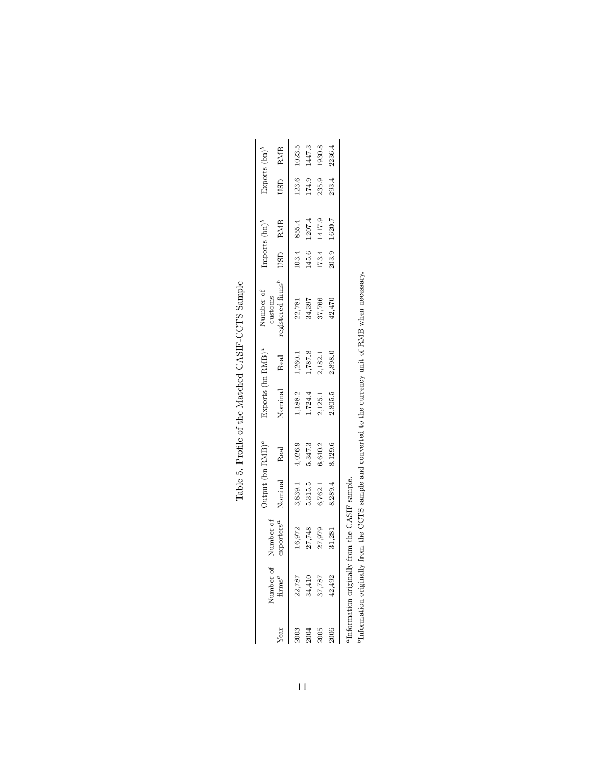| Exports $(bn)^b$                                                          | RMB                                           | 023.5   | 1447.3  | 1930.8                     | 236.4   |
|---------------------------------------------------------------------------|-----------------------------------------------|---------|---------|----------------------------|---------|
|                                                                           | USD                                           | 123.6   | 174.9   | 235.9                      | 293.4   |
| Imports $(\mathtt{bn})^b$                                                 | RMB                                           | 855.4   | 1207.4  | 1417.9                     | 1620.7  |
|                                                                           | USD                                           | 103.4   | 145.6   | 173.4                      | 203.9   |
| Number of<br>customs-                                                     | registered firms <sup>l</sup>                 | 22,781  |         | 34,397<br>37,766<br>42,470 |         |
|                                                                           | Real                                          | 1,260.1 | 1,787.8 | 2,182.1                    | 2,898.0 |
| Exports (bn RMB) <sup><math>a</math></sup>                                | Nominal                                       | 1,188.2 |         | $1,724.4$<br>2,125.1       | 2,805.5 |
| $\left( \Delta \Delta \Delta \right)$ (bin RMB) <sup><math>a</math></sup> | Real                                          | 4,026.9 | 5,347.3 | 6,640.2                    | 8,129.6 |
|                                                                           | Nominal                                       | 3,839.1 |         | 5,315.5<br>6,762.1         | 8,289.4 |
|                                                                           | Number of exporters <sup><math>a</math></sup> | 16,972  | 27,748  | 27,979                     | 31,281  |
|                                                                           | $\rm{Number~of}$ firms<br>"                   | 22,787  |         | 34,410<br>37,787<br>42,492 |         |
|                                                                           | Year                                          | 2003    | 2004    | 2005                       | 2006    |

Table 5. Profile of the Matched CASIF-CCTS Sample Table 5. Profile of the Matched CASIF-CCTS Sample

Information originally from the CASIF sample.

 $^a\rm{Information~originally}$  from the CASIF sample. <br>  $^b\rm{Information~originally}$  from the CCTS sample and converted to the currency unit of RMB when necessary. Information originally from the CCTS sample and converted to the currency unit of RMB when necessary.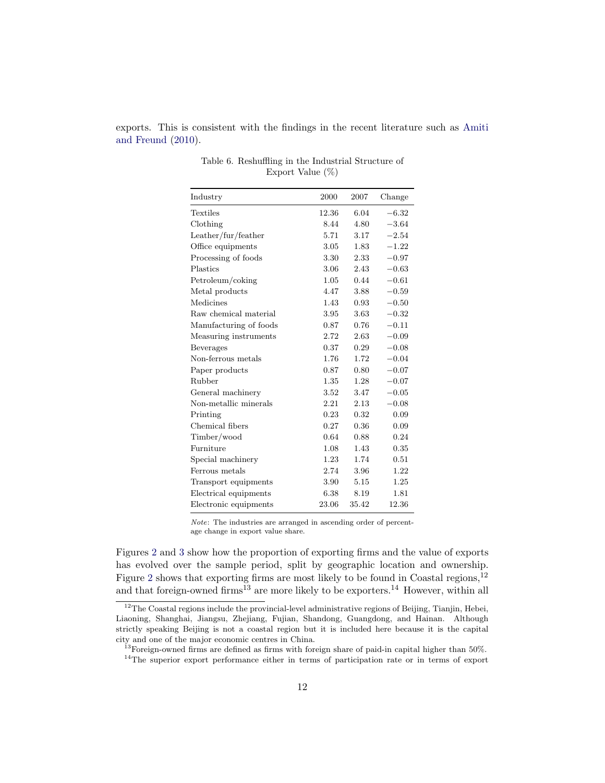exports. This is consistent with the findings in the recent literature such as Amiti and Freund (2010).

| Industry                                   | 2000     | 2007  | Change  |
|--------------------------------------------|----------|-------|---------|
| Textiles                                   | 12.36    | 6.04  | $-6.32$ |
| Clothing                                   | 8.44     | 4.80  | $-3.64$ |
| $\text{Leather}/\text{fur}/\text{feature}$ | 5.71     | 3.17  | $-2.54$ |
| Office equipments                          | 3.05     | 1.83  | $-1.22$ |
| Processing of foods                        | 3.30     | 2.33  | $-0.97$ |
| Plastics                                   | 3.06     | 2.43  | $-0.63$ |
| Petroleum/coking                           | 1.05     | 0.44  | $-0.61$ |
| Metal products                             | 4.47     | 3.88  | $-0.59$ |
| Medicines                                  | 1.43     | 0.93  | $-0.50$ |
| Raw chemical material                      | 3.95     | 3.63  | $-0.32$ |
| Manufacturing of foods                     | 0.87     | 0.76  | $-0.11$ |
| Measuring instruments                      | 2.72     | 2.63  | $-0.09$ |
| Beverages                                  | 0.37     | 0.29  | $-0.08$ |
| Non-ferrous metals                         | 1.76     | 1.72  | $-0.04$ |
| Paper products                             | 0.87     | 0.80  | $-0.07$ |
| Rubber                                     | $1.35\,$ | 1.28  | $-0.07$ |
| General machinery                          | $3.52\,$ | 3.47  | $-0.05$ |
| Non-metallic minerals                      | 2.21     | 2.13  | $-0.08$ |
| Printing                                   | 0.23     | 0.32  | 0.09    |
| Chemical fibers                            | 0.27     | 0.36  | 0.09    |
| Timber/wood                                | 0.64     | 0.88  | 0.24    |
| Furniture                                  | 1.08     | 1.43  | 0.35    |
| Special machinery                          | 1.23     | 1.74  | 0.51    |
| Ferrous metals                             | 2.74     | 3.96  | 1.22    |
| Transport equipments                       | 3.90     | 5.15  | 1.25    |
| Electrical equipments                      | $6.38\,$ | 8.19  | 1.81    |
| Electronic equipments                      | 23.06    | 35.42 | 12.36   |

| Table 6. Reshuffling in the Industrial Structure of |  |
|-----------------------------------------------------|--|
| Export Value $(\%)$                                 |  |

Note: The industries are arranged in ascending order of percentage change in export value share.

Figures 2 and 3 show how the proportion of exporting firms and the value of exports has evolved over the sample period, split by geographic location and ownership. Figure 2 shows that exporting firms are most likely to be found in Coastal regions, $^{12}$ and that foreign-owned firms<sup>13</sup> are more likely to be exporters.<sup>14</sup> However, within all

 $12$ The Coastal regions include the provincial-level administrative regions of Beijing, Tianjin, Hebei, Liaoning, Shanghai, Jiangsu, Zhejiang, Fujian, Shandong, Guangdong, and Hainan. Although strictly speaking Beijing is not a coastal region but it is included here because it is the capital city and one of the major economic centres in China.

 $13$ Foreign-owned firms are defined as firms with foreign share of paid-in capital higher than 50%.

<sup>&</sup>lt;sup>14</sup>The superior export performance either in terms of participation rate or in terms of export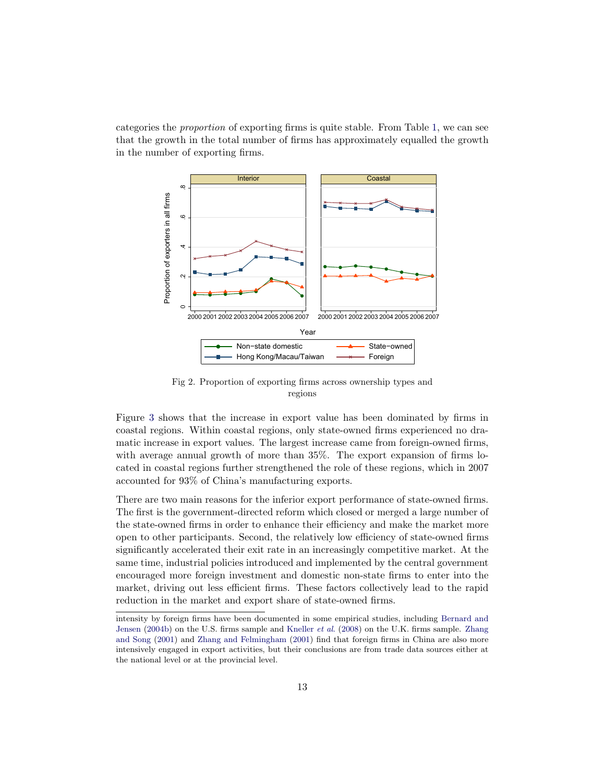categories the proportion of exporting firms is quite stable. From Table 1, we can see that the growth in the total number of firms has approximately equalled the growth in the number of exporting firms.



Fig 2. Proportion of exporting firms across ownership types and regions

Figure 3 shows that the increase in export value has been dominated by firms in coastal regions. Within coastal regions, only state-owned firms experienced no dramatic increase in export values. The largest increase came from foreign-owned firms, with average annual growth of more than 35%. The export expansion of firms located in coastal regions further strengthened the role of these regions, which in 2007 accounted for 93% of China's manufacturing exports.

There are two main reasons for the inferior export performance of state-owned firms. The first is the government-directed reform which closed or merged a large number of the state-owned firms in order to enhance their efficiency and make the market more open to other participants. Second, the relatively low efficiency of state-owned firms significantly accelerated their exit rate in an increasingly competitive market. At the same time, industrial policies introduced and implemented by the central government encouraged more foreign investment and domestic non-state firms to enter into the market, driving out less efficient firms. These factors collectively lead to the rapid reduction in the market and export share of state-owned firms.

intensity by foreign firms have been documented in some empirical studies, including Bernard and Jensen (2004b) on the U.S. firms sample and Kneller et al. (2008) on the U.K. firms sample. Zhang and Song (2001) and Zhang and Felmingham (2001) find that foreign firms in China are also more intensively engaged in export activities, but their conclusions are from trade data sources either at the national level or at the provincial level.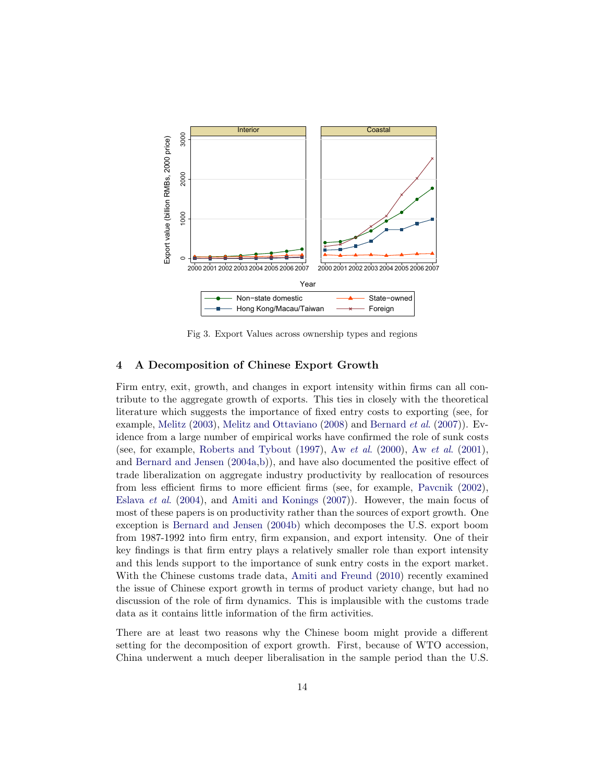

Fig 3. Export Values across ownership types and regions

## **4 A Decomposition of Chinese Export Growth**

Firm entry, exit, growth, and changes in export intensity within firms can all contribute to the aggregate growth of exports. This ties in closely with the theoretical literature which suggests the importance of fixed entry costs to exporting (see, for example, Melitz (2003), Melitz and Ottaviano (2008) and Bernard et al. (2007)). Evidence from a large number of empirical works have confirmed the role of sunk costs (see, for example, Roberts and Tybout (1997), Aw et al. (2000), Aw et al. (2001), and Bernard and Jensen (2004a,b)), and have also documented the positive effect of trade liberalization on aggregate industry productivity by reallocation of resources from less efficient firms to more efficient firms (see, for example, Pavcnik (2002), Eslava et al. (2004), and Amiti and Konings (2007)). However, the main focus of most of these papers is on productivity rather than the sources of export growth. One exception is Bernard and Jensen (2004b) which decomposes the U.S. export boom from 1987-1992 into firm entry, firm expansion, and export intensity. One of their key findings is that firm entry plays a relatively smaller role than export intensity and this lends support to the importance of sunk entry costs in the export market. With the Chinese customs trade data, Amiti and Freund (2010) recently examined the issue of Chinese export growth in terms of product variety change, but had no discussion of the role of firm dynamics. This is implausible with the customs trade data as it contains little information of the firm activities.

There are at least two reasons why the Chinese boom might provide a different setting for the decomposition of export growth. First, because of WTO accession, China underwent a much deeper liberalisation in the sample period than the U.S.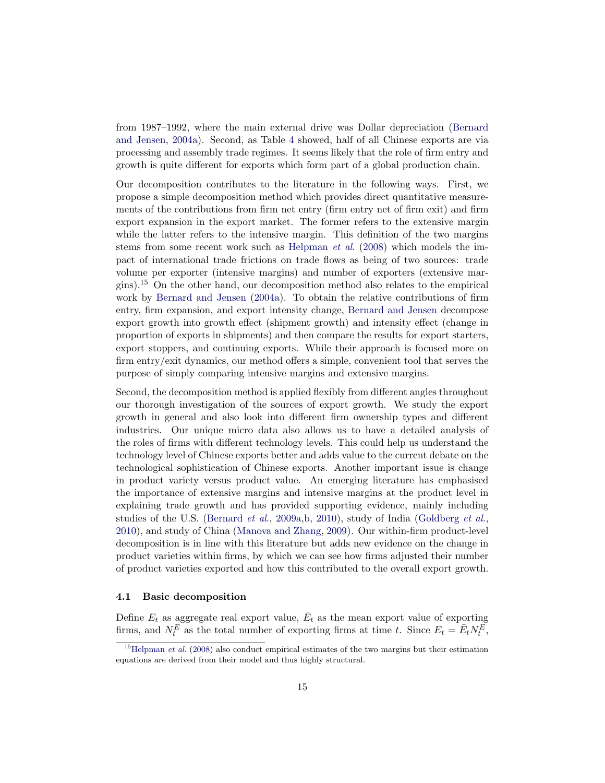from 1987–1992, where the main external drive was Dollar depreciation (Bernard and Jensen, 2004a). Second, as Table 4 showed, half of all Chinese exports are via processing and assembly trade regimes. It seems likely that the role of firm entry and growth is quite different for exports which form part of a global production chain.

Our decomposition contributes to the literature in the following ways. First, we propose a simple decomposition method which provides direct quantitative measurements of the contributions from firm net entry (firm entry net of firm exit) and firm export expansion in the export market. The former refers to the extensive margin while the latter refers to the intensive margin. This definition of the two margins stems from some recent work such as Helpman et al. (2008) which models the impact of international trade frictions on trade flows as being of two sources: trade volume per exporter (intensive margins) and number of exporters (extensive margins).<sup>15</sup> On the other hand, our decomposition method also relates to the empirical work by Bernard and Jensen (2004a). To obtain the relative contributions of firm entry, firm expansion, and export intensity change, Bernard and Jensen decompose export growth into growth effect (shipment growth) and intensity effect (change in proportion of exports in shipments) and then compare the results for export starters, export stoppers, and continuing exports. While their approach is focused more on firm entry/exit dynamics, our method offers a simple, convenient tool that serves the purpose of simply comparing intensive margins and extensive margins.

Second, the decomposition method is applied flexibly from different angles throughout our thorough investigation of the sources of export growth. We study the export growth in general and also look into different firm ownership types and different industries. Our unique micro data also allows us to have a detailed analysis of the roles of firms with different technology levels. This could help us understand the technology level of Chinese exports better and adds value to the current debate on the technological sophistication of Chinese exports. Another important issue is change in product variety versus product value. An emerging literature has emphasised the importance of extensive margins and intensive margins at the product level in explaining trade growth and has provided supporting evidence, mainly including studies of the U.S. (Bernard *et al.*, 2009a, b, 2010), study of India (Goldberg *et al.*, 2010), and study of China (Manova and Zhang, 2009). Our within-firm product-level decomposition is in line with this literature but adds new evidence on the change in product varieties within firms, by which we can see how firms adjusted their number of product varieties exported and how this contributed to the overall export growth.

#### **4.1 Basic decomposition**

Define  $E_t$  as aggregate real export value,  $\bar{E}_t$  as the mean export value of exporting firms, and  $N_t^E$  as the total number of exporting firms at time t. Since  $E_t = \bar{E}_t N_t^E$ ,

 $15$ Helpman *et al.* (2008) also conduct empirical estimates of the two margins but their estimation equations are derived from their model and thus highly structural.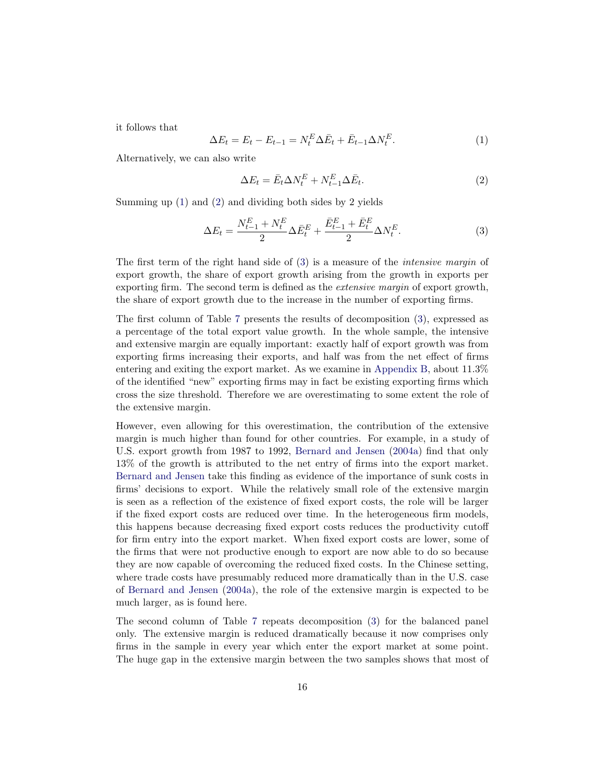it follows that

$$
\Delta E_t = E_t - E_{t-1} = N_t^E \Delta \bar{E}_t + \bar{E}_{t-1} \Delta N_t^E. \tag{1}
$$

Alternatively, we can also write

$$
\Delta E_t = \bar{E}_t \Delta N_t^E + N_{t-1}^E \Delta \bar{E}_t.
$$
\n(2)

Summing up (1) and (2) and dividing both sides by 2 yields

$$
\Delta E_t = \frac{N_{t-1}^E + N_t^E}{2} \Delta \bar{E}_t^E + \frac{\bar{E}_{t-1}^E + \bar{E}_t^E}{2} \Delta N_t^E.
$$
\n(3)

The first term of the right hand side of (3) is a measure of the intensive margin of export growth, the share of export growth arising from the growth in exports per exporting firm. The second term is defined as the extensive margin of export growth, the share of export growth due to the increase in the number of exporting firms.

The first column of Table 7 presents the results of decomposition (3), expressed as a percentage of the total export value growth. In the whole sample, the intensive and extensive margin are equally important: exactly half of export growth was from exporting firms increasing their exports, and half was from the net effect of firms entering and exiting the export market. As we examine in Appendix B, about 11.3% of the identified "new" exporting firms may in fact be existing exporting firms which cross the size threshold. Therefore we are overestimating to some extent the role of the extensive margin.

However, even allowing for this overestimation, the contribution of the extensive margin is much higher than found for other countries. For example, in a study of U.S. export growth from 1987 to 1992, Bernard and Jensen (2004a) find that only 13% of the growth is attributed to the net entry of firms into the export market. Bernard and Jensen take this finding as evidence of the importance of sunk costs in firms' decisions to export. While the relatively small role of the extensive margin is seen as a reflection of the existence of fixed export costs, the role will be larger if the fixed export costs are reduced over time. In the heterogeneous firm models, this happens because decreasing fixed export costs reduces the productivity cutoff for firm entry into the export market. When fixed export costs are lower, some of the firms that were not productive enough to export are now able to do so because they are now capable of overcoming the reduced fixed costs. In the Chinese setting, where trade costs have presumably reduced more dramatically than in the U.S. case of Bernard and Jensen (2004a), the role of the extensive margin is expected to be much larger, as is found here.

The second column of Table 7 repeats decomposition (3) for the balanced panel only. The extensive margin is reduced dramatically because it now comprises only firms in the sample in every year which enter the export market at some point. The huge gap in the extensive margin between the two samples shows that most of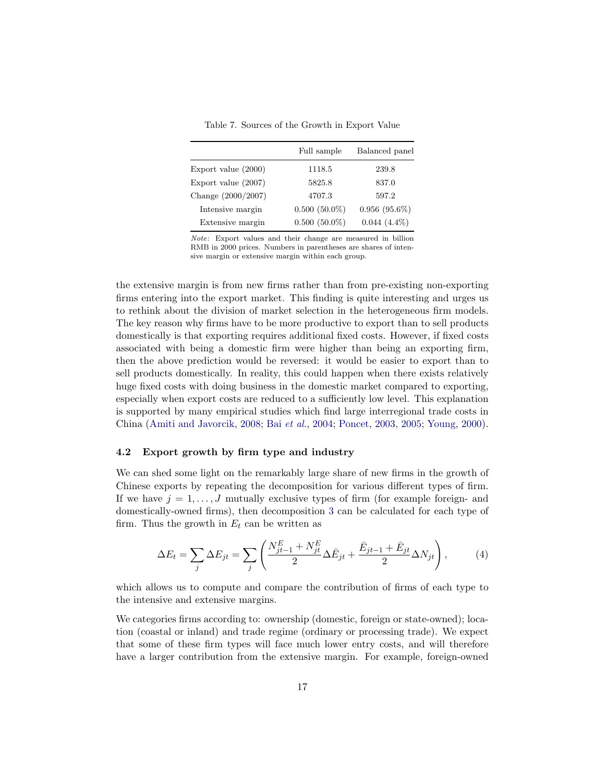Table 7. Sources of the Growth in Export Value

|                       | Full sample     | Balanced panel  |
|-----------------------|-----------------|-----------------|
| Export value (2000)   | 1118.5          | 239.8           |
| Export value $(2007)$ | 5825.8          | 837.0           |
| Change (2000/2007)    | 4707.3          | 597.2           |
| Intensive margin      | $0.500(50.0\%)$ | $0.956(95.6\%)$ |
| Extensive margin      | $0.500(50.0\%)$ | $0.044(4.4\%)$  |

Note: Export values and their change are measured in billion RMB in 2000 prices. Numbers in parentheses are shares of intensive margin or extensive margin within each group.

the extensive margin is from new firms rather than from pre-existing non-exporting firms entering into the export market. This finding is quite interesting and urges us to rethink about the division of market selection in the heterogeneous firm models. The key reason why firms have to be more productive to export than to sell products domestically is that exporting requires additional fixed costs. However, if fixed costs associated with being a domestic firm were higher than being an exporting firm, then the above prediction would be reversed: it would be easier to export than to sell products domestically. In reality, this could happen when there exists relatively huge fixed costs with doing business in the domestic market compared to exporting, especially when export costs are reduced to a sufficiently low level. This explanation is supported by many empirical studies which find large interregional trade costs in China (Amiti and Javorcik, 2008; Bai et al., 2004; Poncet, 2003, 2005; Young, 2000).

#### **4.2 Export growth by firm type and industry**

We can shed some light on the remarkably large share of new firms in the growth of Chinese exports by repeating the decomposition for various different types of firm. If we have  $j = 1, \ldots, J$  mutually exclusive types of firm (for example foreign- and domestically-owned firms), then decomposition 3 can be calculated for each type of firm. Thus the growth in  $E_t$  can be written as

$$
\Delta E_t = \sum_j \Delta E_{jt} = \sum_j \left( \frac{N_{jt-1}^E + N_{jt}^E}{2} \Delta \bar{E}_{jt} + \frac{\bar{E}_{jt-1} + \bar{E}_{jt}}{2} \Delta N_{jt} \right),\tag{4}
$$

which allows us to compute and compare the contribution of firms of each type to the intensive and extensive margins.

We categories firms according to: ownership (domestic, foreign or state-owned); location (coastal or inland) and trade regime (ordinary or processing trade). We expect that some of these firm types will face much lower entry costs, and will therefore have a larger contribution from the extensive margin. For example, foreign-owned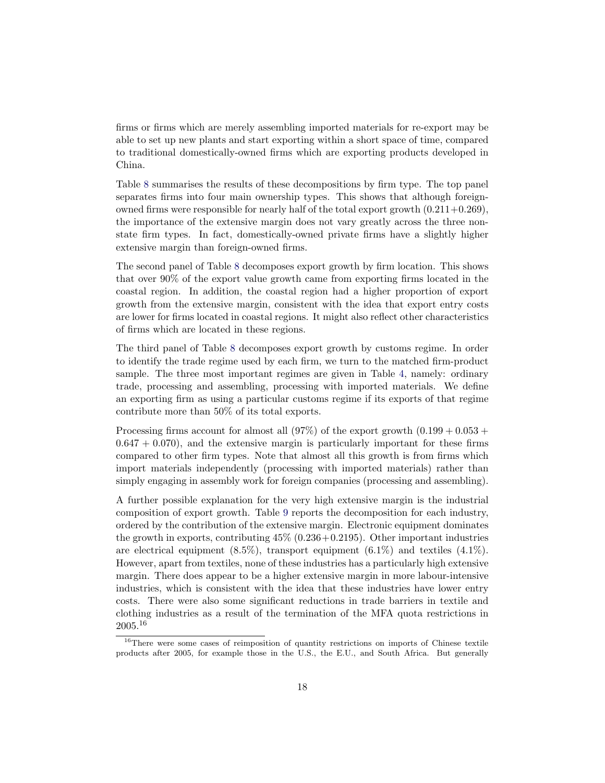firms or firms which are merely assembling imported materials for re-export may be able to set up new plants and start exporting within a short space of time, compared to traditional domestically-owned firms which are exporting products developed in China.

Table 8 summarises the results of these decompositions by firm type. The top panel separates firms into four main ownership types. This shows that although foreignowned firms were responsible for nearly half of the total export growth  $(0.211+0.269)$ , the importance of the extensive margin does not vary greatly across the three nonstate firm types. In fact, domestically-owned private firms have a slightly higher extensive margin than foreign-owned firms.

The second panel of Table 8 decomposes export growth by firm location. This shows that over 90% of the export value growth came from exporting firms located in the coastal region. In addition, the coastal region had a higher proportion of export growth from the extensive margin, consistent with the idea that export entry costs are lower for firms located in coastal regions. It might also reflect other characteristics of firms which are located in these regions.

The third panel of Table 8 decomposes export growth by customs regime. In order to identify the trade regime used by each firm, we turn to the matched firm-product sample. The three most important regimes are given in Table 4, namely: ordinary trade, processing and assembling, processing with imported materials. We define an exporting firm as using a particular customs regime if its exports of that regime contribute more than 50% of its total exports.

Processing firms account for almost all  $(97%)$  of the export growth  $(0.199 + 0.053 +$  $0.647 + 0.070$ , and the extensive margin is particularly important for these firms compared to other firm types. Note that almost all this growth is from firms which import materials independently (processing with imported materials) rather than simply engaging in assembly work for foreign companies (processing and assembling).

A further possible explanation for the very high extensive margin is the industrial composition of export growth. Table 9 reports the decomposition for each industry, ordered by the contribution of the extensive margin. Electronic equipment dominates the growth in exports, contributing  $45\%$  (0.236+0.2195). Other important industries are electrical equipment  $(8.5\%)$ , transport equipment  $(6.1\%)$  and textiles  $(4.1\%)$ . However, apart from textiles, none of these industries has a particularly high extensive margin. There does appear to be a higher extensive margin in more labour-intensive industries, which is consistent with the idea that these industries have lower entry costs. There were also some significant reductions in trade barriers in textile and clothing industries as a result of the termination of the MFA quota restrictions in 2005.<sup>16</sup>

<sup>&</sup>lt;sup>16</sup>There were some cases of reimposition of quantity restrictions on imports of Chinese textile products after 2005, for example those in the U.S., the E.U., and South Africa. But generally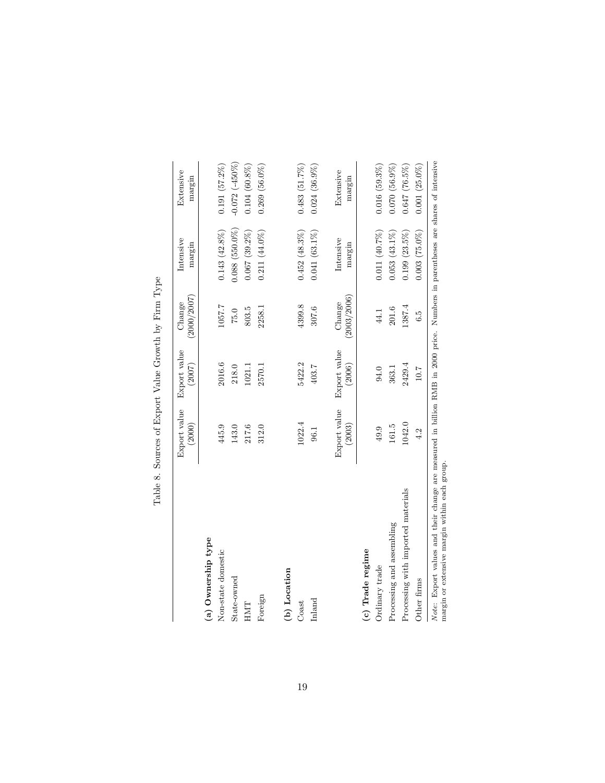|                                    | Export value<br>(2000) | Export value<br>(2007) | (2000/2007)<br>Change | Intensive<br>margin | Extensive<br>margin |
|------------------------------------|------------------------|------------------------|-----------------------|---------------------|---------------------|
| (a) Ownership type                 |                        |                        |                       |                     |                     |
| Non-state domestic                 | 445.9                  | 2016.6                 | 1057.7                | $0.143(42.8\%)$     | 0.191(57.2%)        |
| State-owned                        | 143.0                  | 218.0                  | 75.0                  | $0.088(550.0\%)$    | $-0.072$ $(-450\%)$ |
| HMT                                | 217.6                  | 1021.1                 | 803.5                 | $0.067(39.2\%)$     | $0.104(60.8\%)$     |
| Foreign                            | 312.0                  | 2570.1                 | 2258.1                | $0.211(44.0\%)$     | $0.269(56.0\%)$     |
| (b) Location                       |                        |                        |                       |                     |                     |
| Coast                              | 1022.4                 | 5422.2                 | 4399.8                | $0.452(48.3\%)$     | 0.483(51.7%)        |
| Inland                             | 96.1                   | 403.7                  | 307.6                 | $0.041(63.1\%)$     | $0.024(36.9\%)$     |
|                                    | Export value<br>(2003) | Export value<br>(2006) | (2003/2006)<br>Change | Intensive<br>margin | Extensive<br>margin |
| (c) Trade regime                   |                        |                        |                       |                     |                     |
| Ordinary trade                     | 49.9                   | 94.0                   | 44.1                  | $0.011(40.7\%)$     | $0.016(59.3\%)$     |
| Processing and assembling          | 161.5                  | 363.1                  | 201.6                 | $0.053(43.1\%)$     | 0.070(56.9%)        |
| Processing with imported materials | 1042.0                 | 2429.4                 | 1387.4                | $0.199(23.5\%)$     | $0.647(76.5\%)$     |
| Other firms                        | 4.2                    | $10.7\,$               | 6.5                   | $0.003(75.0\%)$     | $0.001(25.0\%)$     |

Table 8. Sources of Export Value Growth by Firm Type Table 8. Sources of Export Value Growth by Firm Type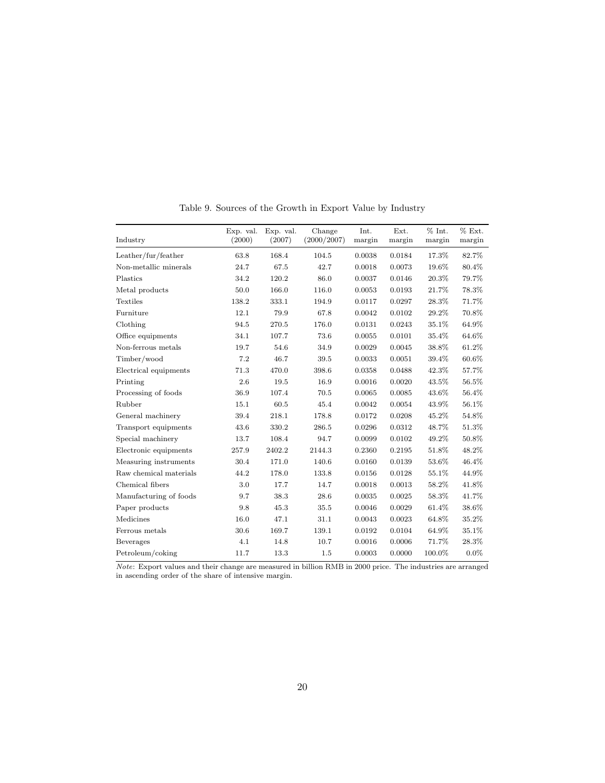| Industry               | Exp. val.<br>(2000) | Exp. val.<br>(2007) | Change<br>(2000/2007) | Int.<br>margin | Ext.<br>margin | % Int.<br>margin | % Ext.<br>margin |
|------------------------|---------------------|---------------------|-----------------------|----------------|----------------|------------------|------------------|
| Leather/fur/feather    | 63.8                | 168.4               | 104.5                 | 0.0038         | 0.0184         | 17.3%            | 82.7%            |
| Non-metallic minerals  | 24.7                | 67.5                | 42.7                  | 0.0018         | 0.0073         | 19.6%            | 80.4%            |
| Plastics               | 34.2                | 120.2               | 86.0                  | 0.0037         | 0.0146         | 20.3%            | 79.7%            |
| Metal products         | 50.0                | 166.0               | 116.0                 | 0.0053         | 0.0193         | 21.7%            | 78.3%            |
| Textiles               | 138.2               | 333.1               | 194.9                 | 0.0117         | 0.0297         | 28.3%            | 71.7%            |
| Furniture              | 12.1                | 79.9                | 67.8                  | 0.0042         | 0.0102         | 29.2%            | 70.8%            |
| Clothing               | 94.5                | 270.5               | 176.0                 | 0.0131         | 0.0243         | 35.1%            | 64.9%            |
| Office equipments      | 34.1                | 107.7               | 73.6                  | 0.0055         | 0.0101         | 35.4%            | 64.6%            |
| Non-ferrous metals     | 19.7                | 54.6                | 34.9                  | 0.0029         | 0.0045         | 38.8%            | 61.2%            |
| Timber/wood            | 7.2                 | 46.7                | 39.5                  | 0.0033         | 0.0051         | 39.4%            | 60.6%            |
| Electrical equipments  | 71.3                | 470.0               | 398.6                 | 0.0358         | 0.0488         | 42.3%            | 57.7%            |
| Printing               | 2.6                 | 19.5                | 16.9                  | 0.0016         | 0.0020         | 43.5%            | 56.5%            |
| Processing of foods    | 36.9                | 107.4               | 70.5                  | 0.0065         | 0.0085         | 43.6%            | 56.4%            |
| Rubber                 | 15.1                | 60.5                | 45.4                  | 0.0042         | 0.0054         | 43.9%            | 56.1%            |
| General machinery      | 39.4                | 218.1               | 178.8                 | 0.0172         | 0.0208         | 45.2%            | 54.8%            |
| Transport equipments   | 43.6                | 330.2               | 286.5                 | 0.0296         | 0.0312         | 48.7%            | 51.3%            |
| Special machinery      | 13.7                | 108.4               | 94.7                  | 0.0099         | 0.0102         | 49.2%            | 50.8%            |
| Electronic equipments  | 257.9               | 2402.2              | 2144.3                | 0.2360         | 0.2195         | 51.8%            | 48.2%            |
| Measuring instruments  | 30.4                | 171.0               | 140.6                 | 0.0160         | 0.0139         | 53.6%            | 46.4%            |
| Raw chemical materials | 44.2                | 178.0               | 133.8                 | 0.0156         | 0.0128         | 55.1%            | 44.9%            |
| Chemical fibers        | 3.0                 | 17.7                | 14.7                  | 0.0018         | 0.0013         | 58.2%            | 41.8%            |
| Manufacturing of foods | 9.7                 | 38.3                | 28.6                  | 0.0035         | 0.0025         | 58.3%            | 41.7%            |
| Paper products         | 9.8                 | 45.3                | 35.5                  | 0.0046         | 0.0029         | 61.4%            | 38.6%            |
| Medicines              | 16.0                | 47.1                | 31.1                  | 0.0043         | 0.0023         | 64.8%            | 35.2%            |
| Ferrous metals         | 30.6                | 169.7               | 139.1                 | 0.0192         | 0.0104         | 64.9%            | 35.1%            |
| <b>Beverages</b>       | 4.1                 | 14.8                | 10.7                  | 0.0016         | 0.0006         | 71.7%            | 28.3%            |
| Petroleum/coking       | 11.7                | 13.3                | 1.5                   | 0.0003         | 0.0000         | 100.0%           | $0.0\%$          |

Table 9. Sources of the Growth in Export Value by Industry

Note: Export values and their change are measured in billion RMB in 2000 price. The industries are arranged in ascending order of the share of intensive margin.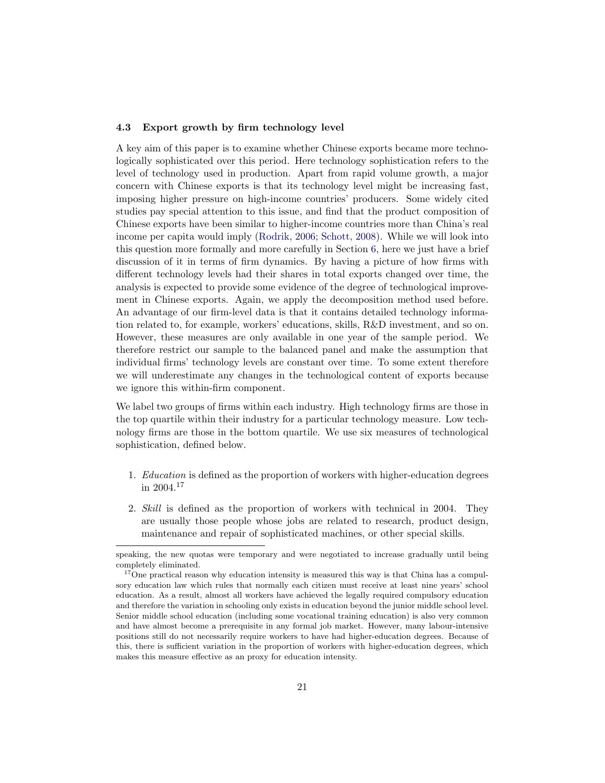#### **4.3Export growth by firm technology level**

A key aim of this paper is to examine whether Chinese exports became more technologically sophisticated over this period. Here technology sophistication refers to the level of technology used in production. Apart from rapid volume growth, a major concern with Chinese exports is that its technology level might be increasing fast, imposing higher pressure on high-income countries' producers. Some widely cited studies pay special attention to this issue, and find that the product composition of Chinese exports have been similar to higher-income countries more than China's real income per capita would imply (Rodrik, 2006; Schott, 2008). While we will look into this question more formally and more carefully in Section 6, here we just have a brief discussion of it in terms of firm dynamics. By having a picture of how firms with different technology levels had their shares in total exports changed over time, the analysis is expected to provide some evidence of the degree of technological improvement in Chinese exports. Again, we apply the decomposition method used before. An advantage of our firm-level data is that it contains detailed technology information related to, for example, workers' educations, skills, R&D investment, and so on. However, these measures are only available in one year of the sample period. We therefore restrict our sample to the balanced panel and make the assumption that individual firms' technology levels are constant over time. To some extent therefore we will underestimate any changes in the technological content of exports because we ignore this within-firm component.

We label two groups of firms within each industry. High technology firms are those in the top quartile within their industry for a particular technology measure. Low technology firms are those in the bottom quartile. We use six measures of technological sophistication, defined below.

- 1. Education is defined as the proportion of workers with higher-education degrees in 2004.<sup>17</sup>
- 2. Skill is defined as the proportion of workers with technical in 2004. They are usually those people whose jobs are related to research, product design, maintenance and repair of sophisticated machines, or other special skills.

speaking, the new quotas were temporary and were negotiated to increase gradually until being completely eliminated.

<sup>&</sup>lt;sup>17</sup>One practical reason why education intensity is measured this way is that China has a compulsory education law which rules that normally each citizen must receive at least nine years' school education. As a result, almost all workers have achieved the legally required compulsory education and therefore the variation in schooling only exists in education beyond the junior middle school level. Senior middle school education (including some vocational training education) is also very common and have almost become a prerequisite in any formal job market. However, many labour-intensive positions still do not necessarily require workers to have had higher-education degrees. Because of this, there is sufficient variation in the proportion of workers with higher-education degrees, which makes this measure effective as an proxy for education intensity.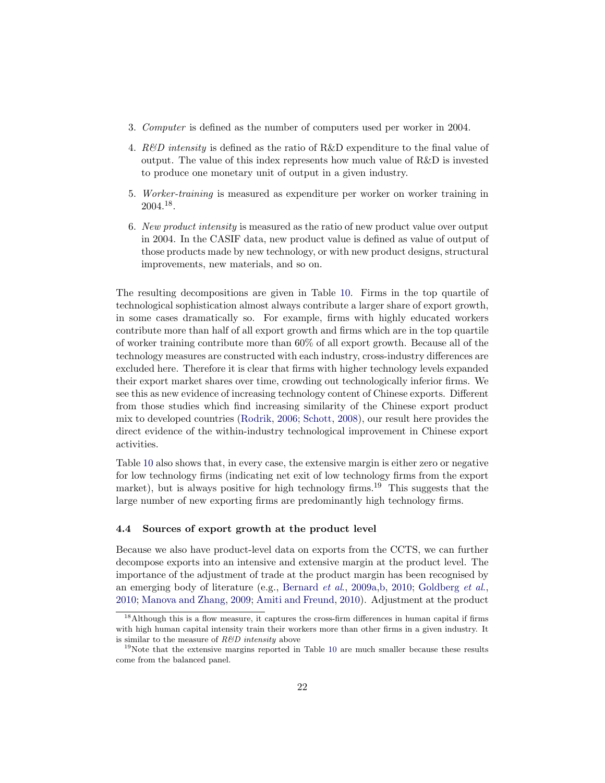- 3. Computer is defined as the number of computers used per worker in 2004.
- 4. R&D intensity is defined as the ratio of R&D expenditure to the final value of output. The value of this index represents how much value of R&D is invested to produce one monetary unit of output in a given industry.
- 5. Worker-training is measured as expenditure per worker on worker training in 2004.18.
- 6. New product intensity is measured as the ratio of new product value over output in 2004. In the CASIF data, new product value is defined as value of output of those products made by new technology, or with new product designs, structural improvements, new materials, and so on.

The resulting decompositions are given in Table 10. Firms in the top quartile of technological sophistication almost always contribute a larger share of export growth, in some cases dramatically so. For example, firms with highly educated workers contribute more than half of all export growth and firms which are in the top quartile of worker training contribute more than 60% of all export growth. Because all of the technology measures are constructed with each industry, cross-industry differences are excluded here. Therefore it is clear that firms with higher technology levels expanded their export market shares over time, crowding out technologically inferior firms. We see this as new evidence of increasing technology content of Chinese exports. Different from those studies which find increasing similarity of the Chinese export product mix to developed countries (Rodrik, 2006; Schott, 2008), our result here provides the direct evidence of the within-industry technological improvement in Chinese export activities.

Table 10 also shows that, in every case, the extensive margin is either zero or negative for low technology firms (indicating net exit of low technology firms from the export market), but is always positive for high technology firms.<sup>19</sup> This suggests that the large number of new exporting firms are predominantly high technology firms.

#### **4.4 Sources of export growth at the product level**

Because we also have product-level data on exports from the CCTS, we can further decompose exports into an intensive and extensive margin at the product level. The importance of the adjustment of trade at the product margin has been recognised by an emerging body of literature (e.g., Bernard et al., 2009a,b, 2010; Goldberg et al., 2010; Manova and Zhang, 2009; Amiti and Freund, 2010). Adjustment at the product

<sup>&</sup>lt;sup>18</sup>Although this is a flow measure, it captures the cross-firm differences in human capital if firms with high human capital intensity train their workers more than other firms in a given industry. It is similar to the measure of  $R\&D$  intensity above

<sup>&</sup>lt;sup>19</sup>Note that the extensive margins reported in Table 10 are much smaller because these results come from the balanced panel.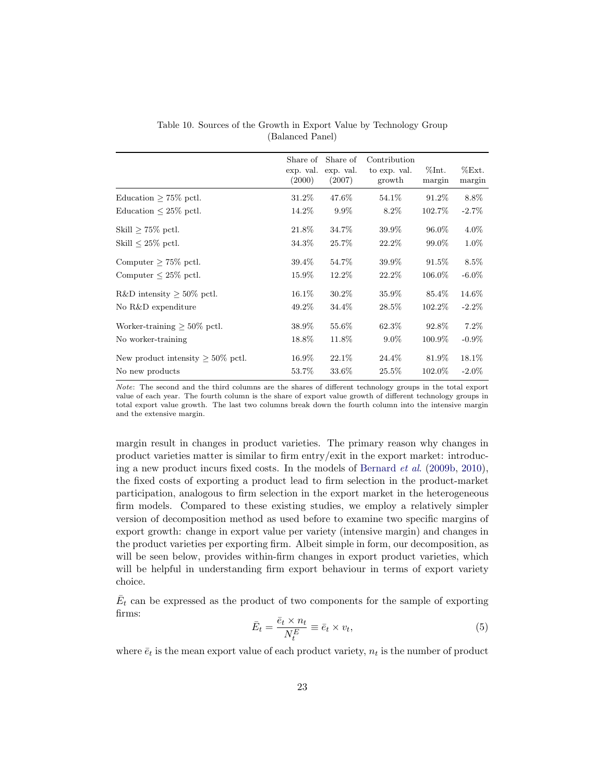|                                         | Share of<br>exp. val.<br>(2000) | Share of<br>exp. val.<br>(2007) | Contribution<br>to exp. val.<br>growth | $\%$ Int.<br>margin | %Ext.<br>margin |
|-----------------------------------------|---------------------------------|---------------------------------|----------------------------------------|---------------------|-----------------|
| Education $> 75\%$ pctl.                | 31.2%                           | 47.6%                           | 54.1\%                                 | 91.2%               | 8.8%            |
| Education $\leq 25\%$ pctl.             | 14.2%                           | $9.9\%$                         | 8.2%                                   | 102.7%              | $-2.7\%$        |
| Skill $> 75\%$ pctl.                    | 21.8%                           | 34.7%                           | 39.9%                                  | 96.0%               | $4.0\%$         |
| Skill $\leq 25\%$ pctl.                 | 34.3%                           | 25.7%                           | 22.2\%                                 | 99.0%               | $1.0\%$         |
| Computer $> 75\%$ pctl.                 | 39.4%                           | 54.7%                           | 39.9%                                  | 91.5%               | 8.5%            |
| Computer $\leq 25\%$ pctl.              | 15.9%                           | 12.2%                           | 22.2%                                  | 106.0%              | $-6.0\%$        |
| R&D intensity $>$ 50% pctl.             | 16.1\%                          | 30.2%                           | 35.9%                                  | 85.4%               | 14.6%           |
| No R&D expenditure                      | 49.2%                           | 34.4%                           | 28.5%                                  | 102.2%              | $-2.2\%$        |
| Worker-training $>50\%$ pctl.           | 38.9%                           | 55.6%                           | 62.3%                                  | 92.8%               | 7.2%            |
| No worker-training                      | 18.8%                           | 11.8%                           | $9.0\%$                                | 100.9%              | $-0.9\%$        |
| New product intensity $\geq 50\%$ pctl. | 16.9%                           | 22.1\%                          | 24.4\%                                 | 81.9%               | 18.1%           |
| No new products                         | 53.7%                           | 33.6%                           | $25.5\%$                               | 102.0%              | $-2.0\%$        |

Table 10. Sources of the Growth in Export Value by Technology Group (Balanced Panel)

margin result in changes in product varieties. The primary reason why changes in product varieties matter is similar to firm entry/exit in the export market: introducing a new product incurs fixed costs. In the models of Bernard et al. (2009b, 2010), the fixed costs of exporting a product lead to firm selection in the product-market participation, analogous to firm selection in the export market in the heterogeneous firm models. Compared to these existing studies, we employ a relatively simpler version of decomposition method as used before to examine two specific margins of export growth: change in export value per variety (intensive margin) and changes in the product varieties per exporting firm. Albeit simple in form, our decomposition, as will be seen below, provides within-firm changes in export product varieties, which will be helpful in understanding firm export behaviour in terms of export variety choice.

 $\bar{E}_t$  can be expressed as the product of two components for the sample of exporting firms:

$$
\bar{E}_t = \frac{\bar{e}_t \times n_t}{N_t^E} \equiv \bar{e}_t \times v_t,\tag{5}
$$

where  $\bar{e}_t$  is the mean export value of each product variety,  $n_t$  is the number of product

Note: The second and the third columns are the shares of different technology groups in the total export value of each year. The fourth column is the share of export value growth of different technology groups in total export value growth. The last two columns break down the fourth column into the intensive margin and the extensive margin.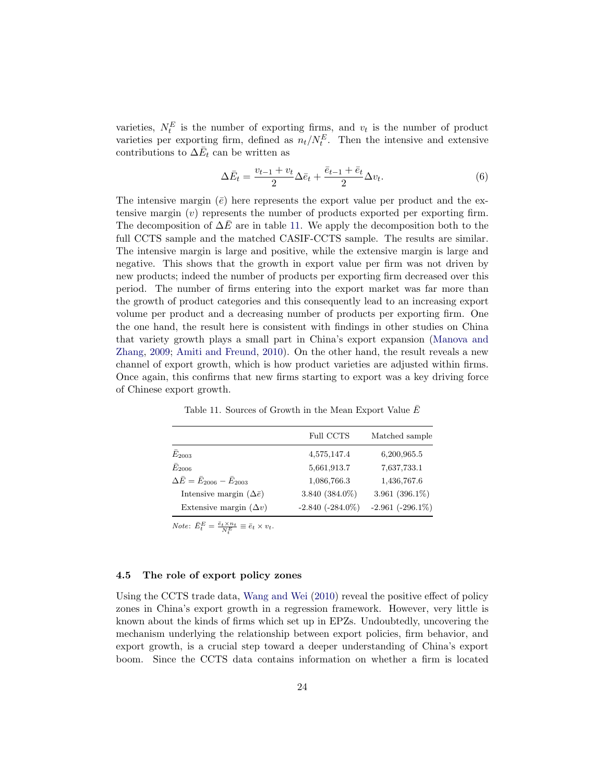varieties,  $N_t^E$  is the number of exporting firms, and  $v_t$  is the number of product varieties per exporting firm, defined as  $n_t/N_t^E$ . Then the intensive and extensive contributions to  $\Delta \bar{E}_t$  can be written as

$$
\Delta \bar{E}_t = \frac{v_{t-1} + v_t}{2} \Delta \bar{e}_t + \frac{\bar{e}_{t-1} + \bar{e}_t}{2} \Delta v_t.
$$
\n
$$
(6)
$$

The intensive margin  $(\bar{e})$  here represents the export value per product and the extensive margin  $(v)$  represents the number of products exported per exporting firm. The decomposition of  $\Delta E$  are in table 11. We apply the decomposition both to the full CCTS sample and the matched CASIF-CCTS sample. The results are similar. The intensive margin is large and positive, while the extensive margin is large and negative. This shows that the growth in export value per firm was not driven by new products; indeed the number of products per exporting firm decreased over this period. The number of firms entering into the export market was far more than the growth of product categories and this consequently lead to an increasing export volume per product and a decreasing number of products per exporting firm. One the one hand, the result here is consistent with findings in other studies on China that variety growth plays a small part in China's export expansion (Manova and Zhang, 2009; Amiti and Freund, 2010). On the other hand, the result reveals a new channel of export growth, which is how product varieties are adjusted within firms. Once again, this confirms that new firms starting to export was a key driving force of Chinese export growth.

|                                              | Full CCTS          | Matched sample        |
|----------------------------------------------|--------------------|-----------------------|
| $E_{2003}$                                   | 4,575,147.4        | 6,200,965.5           |
| $E_{2006}$                                   | 5,661,913.7        | 7,637,733.1           |
| $\Delta E = \bar{E}_{2006} - \bar{E}_{2003}$ | 1,086,766.3        | 1,436,767.6           |
| Intensive margin $(\Delta \bar{e})$          | 3.840 (384.0%)     | 3.961 $(396.1\%)$     |
| Extensive margin $(\Delta v)$                | $-2.840(-284.0\%)$ | $-2.961$ $(-296.1\%)$ |

Table 11. Sources of Growth in the Mean Export Value  $\bar{E}$ 

Note:  $\bar{E}_t^E = \frac{\bar{e}_t \times n_t}{N_t^E} \equiv \bar{e}_t \times v_t.$ 

#### **4.5 The role of export policy zones**

Using the CCTS trade data, Wang and Wei (2010) reveal the positive effect of policy zones in China's export growth in a regression framework. However, very little is known about the kinds of firms which set up in EPZs. Undoubtedly, uncovering the mechanism underlying the relationship between export policies, firm behavior, and export growth, is a crucial step toward a deeper understanding of China's export boom. Since the CCTS data contains information on whether a firm is located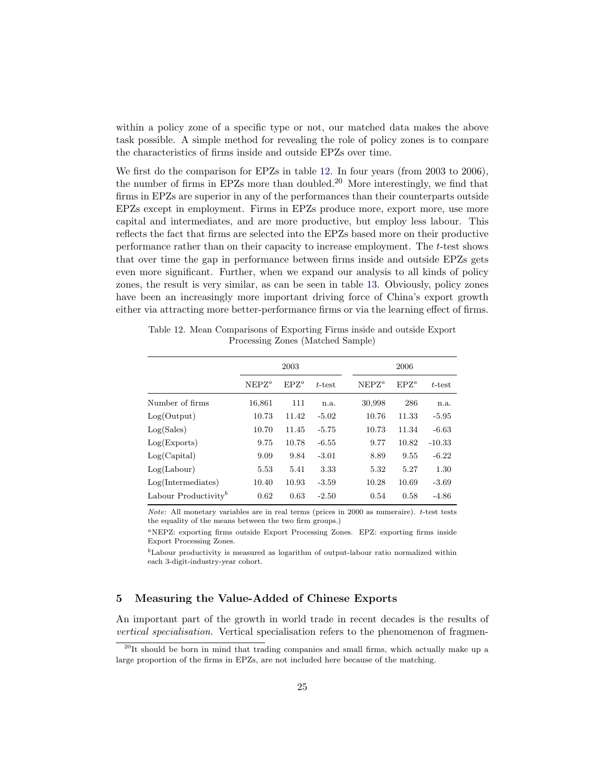within a policy zone of a specific type or not, our matched data makes the above task possible. A simple method for revealing the role of policy zones is to compare the characteristics of firms inside and outside EPZs over time.

We first do the comparison for EPZs in table 12. In four years (from 2003 to 2006), the number of firms in EPZs more than doubled.<sup>20</sup> More interestingly, we find that firms in EPZs are superior in any of the performances than their counterparts outside EPZs except in employment. Firms in EPZs produce more, export more, use more capital and intermediates, and are more productive, but employ less labour. This reflects the fact that firms are selected into the EPZs based more on their productive performance rather than on their capacity to increase employment. The -test shows that over time the gap in performance between firms inside and outside EPZs gets even more significant. Further, when we expand our analysis to all kinds of policy zones, the result is very similar, as can be seen in table 13. Obviously, policy zones have been an increasingly more important driving force of China's export growth either via attracting more better-performance firms or via the learning effect of firms.

Table 12. Mean Comparisons of Exporting Firms inside and outside Export Processing Zones (Matched Sample)

|                                  |          | 2006      |           |          |         |           |
|----------------------------------|----------|-----------|-----------|----------|---------|-----------|
|                                  | $NEPZ^a$ | $E P Z^a$ | $t$ -test | $NEPZ^a$ | $EPZ^a$ | $t$ -test |
| Number of firms                  | 16,861   | 111       | n.a.      | 30,998   | 286     | n.a.      |
| Log(Output)                      | 10.73    | 11.42     | $-5.02$   | 10.76    | 11.33   | $-5.95$   |
| Log(Sales)                       | 10.70    | 11.45     | $-5.75$   | 10.73    | 11.34   | $-6.63$   |
| Log(Express)                     | 9.75     | 10.78     | $-6.55$   | 9.77     | 10.82   | $-10.33$  |
| Log(Capital)                     | 9.09     | 9.84      | $-3.01$   | 8.89     | 9.55    | $-6.22$   |
| $Log($ Labour $)$                | 5.53     | 5.41      | 3.33      | 5.32     | 5.27    | 1.30      |
| Log(Intermediates)               | 10.40    | 10.93     | $-3.59$   | 10.28    | 10.69   | $-3.69$   |
| Labour Productivity <sup>b</sup> | 0.62     | 0.63      | $-2.50$   | 0.54     | 0.58    | $-4.86$   |

Note: All monetary variables are in real terms (prices in 2000 as numeraire).  $t$ -test tests the equality of the means between the two firm groups.)

NEPZ: exporting firms outside Export Processing Zones. EPZ: exporting firms inside Export Processing Zones.

 ${}^{b}$ Labour productivity is measured as logarithm of output-labour ratio normalized within each 3-digit-industry-year cohort.

# **5 Measuring the Value-Added of Chinese Exports**

An important part of the growth in world trade in recent decades is the results of vertical specialisation. Vertical specialisation refers to the phenomenon of fragmen-

 $^{20}$ It should be born in mind that trading companies and small firms, which actually make up a large proportion of the firms in EPZs, are not included here because of the matching.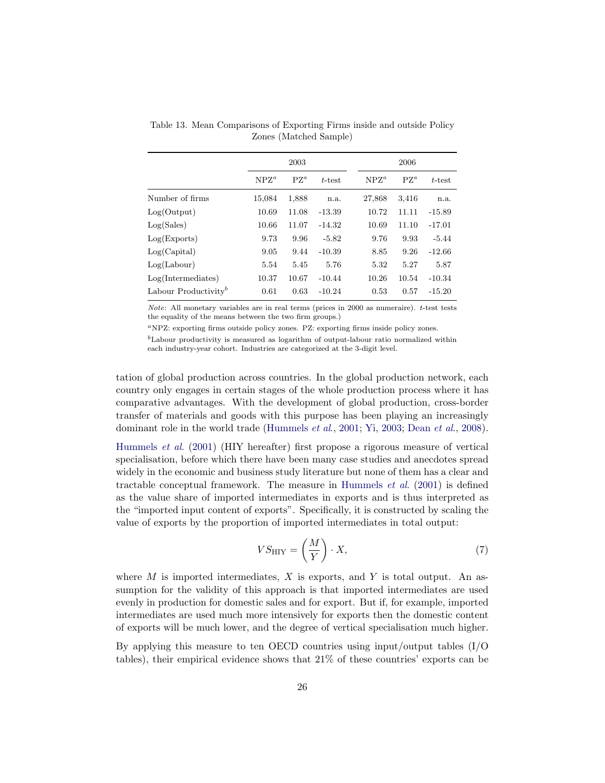|                                  |         | 2003   |           |         | 2006   |           |  |
|----------------------------------|---------|--------|-----------|---------|--------|-----------|--|
|                                  | $NPZ^a$ | $PZ^a$ | $t$ -test | $NPZ^a$ | $PZ^a$ | $t$ -test |  |
| Number of firms                  | 15,084  | 1,888  | n.a.      | 27,868  | 3,416  | n.a.      |  |
| Log(Output)                      | 10.69   | 11.08  | $-13.39$  | 10.72   | 11.11  | $-15.89$  |  |
| Log(Sales)                       | 10.66   | 11.07  | $-14.32$  | 10.69   | 11.10  | $-17.01$  |  |
| Log(Express)                     | 9.73    | 9.96   | $-5.82$   | 9.76    | 9.93   | $-5.44$   |  |
| Log(Capital)                     | 9.05    | 9.44   | $-10.39$  | 8.85    | 9.26   | $-12.66$  |  |
| $Log($ Labour $)$                | 5.54    | 5.45   | 5.76      | 5.32    | 5.27   | 5.87      |  |
| Log(Intermediates)               | 10.37   | 10.67  | $-10.44$  | 10.26   | 10.54  | $-10.34$  |  |
| Labour Productivity <sup>b</sup> | 0.61    | 0.63   | $-10.24$  | 0.53    | 0.57   | $-15.20$  |  |

Table 13. Mean Comparisons of Exporting Firms inside and outside Policy Zones (Matched Sample)

Note: All monetary variables are in real terms (prices in 2000 as numeraire).  $t$ -test tests the equality of the means between the two firm groups.)

NPZ: exporting firms outside policy zones. PZ: exporting firms inside policy zones.

 ${}^{b}$ Labour productivity is measured as logarithm of output-labour ratio normalized within each industry-year cohort. Industries are categorized at the 3-digit level.

tation of global production across countries. In the global production network, each country only engages in certain stages of the whole production process where it has comparative advantages. With the development of global production, cross-border transfer of materials and goods with this purpose has been playing an increasingly dominant role in the world trade (Hummels *et al.*, 2001; Yi, 2003; Dean *et al.*, 2008).

Hummels et al. (2001) (HIY hereafter) first propose a rigorous measure of vertical specialisation, before which there have been many case studies and anecdotes spread widely in the economic and business study literature but none of them has a clear and tractable conceptual framework. The measure in Hummels  $et \ al.$  (2001) is defined as the value share of imported intermediates in exports and is thus interpreted as the "imported input content of exports". Specifically, it is constructed by scaling the value of exports by the proportion of imported intermediates in total output:

$$
VS_{\rm HIY} = \left(\frac{M}{Y}\right) \cdot X,\tag{7}
$$

where  $M$  is imported intermediates,  $X$  is exports, and  $Y$  is total output. An assumption for the validity of this approach is that imported intermediates are used evenly in production for domestic sales and for export. But if, for example, imported intermediates are used much more intensively for exports then the domestic content of exports will be much lower, and the degree of vertical specialisation much higher.

By applying this measure to ten OECD countries using input/output tables (I/O tables), their empirical evidence shows that 21% of these countries' exports can be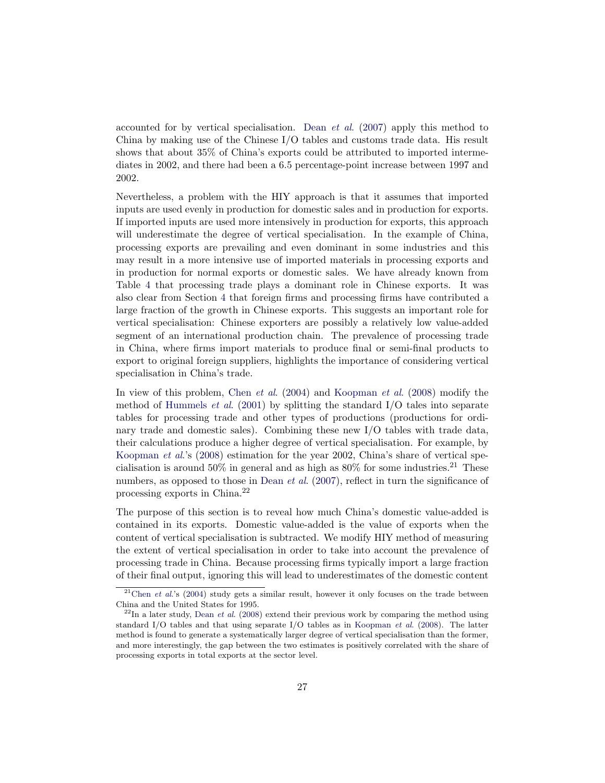accounted for by vertical specialisation. Dean *et al.* (2007) apply this method to China by making use of the Chinese I/O tables and customs trade data. His result shows that about 35% of China's exports could be attributed to imported intermediates in 2002, and there had been a 6.5 percentage-point increase between 1997 and 2002.

Nevertheless, a problem with the HIY approach is that it assumes that imported inputs are used evenly in production for domestic sales and in production for exports. If imported inputs are used more intensively in production for exports, this approach will underestimate the degree of vertical specialisation. In the example of China, processing exports are prevailing and even dominant in some industries and this may result in a more intensive use of imported materials in processing exports and in production for normal exports or domestic sales. We have already known from Table 4 that processing trade plays a dominant role in Chinese exports. It was also clear from Section 4 that foreign firms and processing firms have contributed a large fraction of the growth in Chinese exports. This suggests an important role for vertical specialisation: Chinese exporters are possibly a relatively low value-added segment of an international production chain. The prevalence of processing trade in China, where firms import materials to produce final or semi-final products to export to original foreign suppliers, highlights the importance of considering vertical specialisation in China's trade.

In view of this problem, Chen et al. (2004) and Koopman et al. (2008) modify the method of Hummels *et al.* (2001) by splitting the standard  $I/O$  tales into separate tables for processing trade and other types of productions (productions for ordinary trade and domestic sales). Combining these new I/O tables with trade data, their calculations produce a higher degree of vertical specialisation. For example, by Koopman et al.'s (2008) estimation for the year 2002, China's share of vertical specialisation is around  $50\%$  in general and as high as  $80\%$  for some industries.<sup>21</sup> These numbers, as opposed to those in Dean *et al.* (2007), reflect in turn the significance of processing exports in China.<sup>22</sup>

The purpose of this section is to reveal how much China's domestic value-added is contained in its exports. Domestic value-added is the value of exports when the content of vertical specialisation is subtracted. We modify HIY method of measuring the extent of vertical specialisation in order to take into account the prevalence of processing trade in China. Because processing firms typically import a large fraction of their final output, ignoring this will lead to underestimates of the domestic content

 $21$ Chen *et al.*'s (2004) study gets a similar result, however it only focuses on the trade between China and the United States for 1995.

 $^{22}$ In a later study, Dean *et al.* (2008) extend their previous work by comparing the method using standard I/O tables and that using separate I/O tables as in Koopman et al. (2008). The latter method is found to generate a systematically larger degree of vertical specialisation than the former, and more interestingly, the gap between the two estimates is positively correlated with the share of processing exports in total exports at the sector level.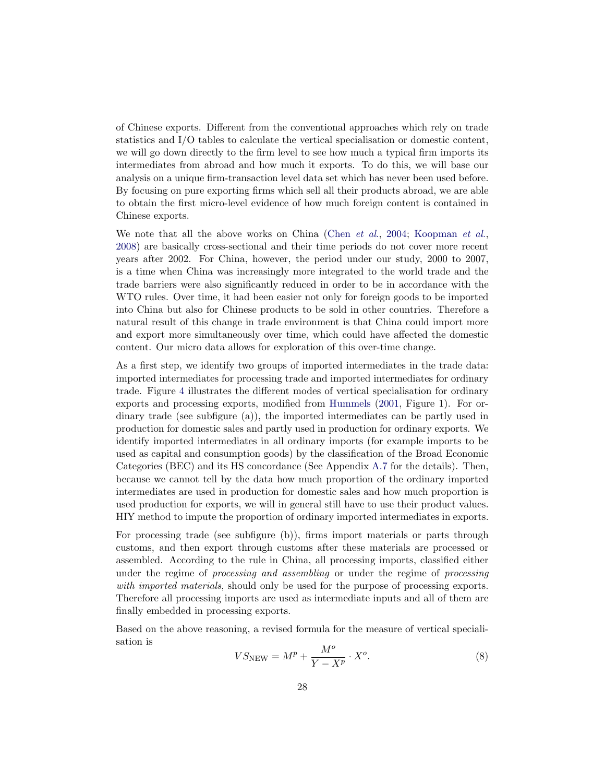of Chinese exports. Different from the conventional approaches which rely on trade statistics and I/O tables to calculate the vertical specialisation or domestic content, we will go down directly to the firm level to see how much a typical firm imports its intermediates from abroad and how much it exports. To do this, we will base our analysis on a unique firm-transaction level data set which has never been used before. By focusing on pure exporting firms which sell all their products abroad, we are able to obtain the first micro-level evidence of how much foreign content is contained in Chinese exports.

We note that all the above works on China (Chen et al., 2004; Koopman et al., 2008) are basically cross-sectional and their time periods do not cover more recent years after 2002. For China, however, the period under our study, 2000 to 2007, is a time when China was increasingly more integrated to the world trade and the trade barriers were also significantly reduced in order to be in accordance with the WTO rules. Over time, it had been easier not only for foreign goods to be imported into China but also for Chinese products to be sold in other countries. Therefore a natural result of this change in trade environment is that China could import more and export more simultaneously over time, which could have affected the domestic content. Our micro data allows for exploration of this over-time change.

As a first step, we identify two groups of imported intermediates in the trade data: imported intermediates for processing trade and imported intermediates for ordinary trade. Figure 4 illustrates the different modes of vertical specialisation for ordinary exports and processing exports, modified from Hummels (2001, Figure 1). For ordinary trade (see subfigure (a)), the imported intermediates can be partly used in production for domestic sales and partly used in production for ordinary exports. We identify imported intermediates in all ordinary imports (for example imports to be used as capital and consumption goods) by the classification of the Broad Economic Categories (BEC) and its HS concordance (See Appendix A.7 for the details). Then, because we cannot tell by the data how much proportion of the ordinary imported intermediates are used in production for domestic sales and how much proportion is used production for exports, we will in general still have to use their product values. HIY method to impute the proportion of ordinary imported intermediates in exports.

For processing trade (see subfigure (b)), firms import materials or parts through customs, and then export through customs after these materials are processed or assembled. According to the rule in China, all processing imports, classified either under the regime of *processing and assembling* or under the regime of *processing* with imported materials, should only be used for the purpose of processing exports. Therefore all processing imports are used as intermediate inputs and all of them are finally embedded in processing exports.

Based on the above reasoning, a revised formula for the measure of vertical specialisation is

$$
VS_{\text{NEW}} = M^p + \frac{M^o}{Y - X^p} \cdot X^o. \tag{8}
$$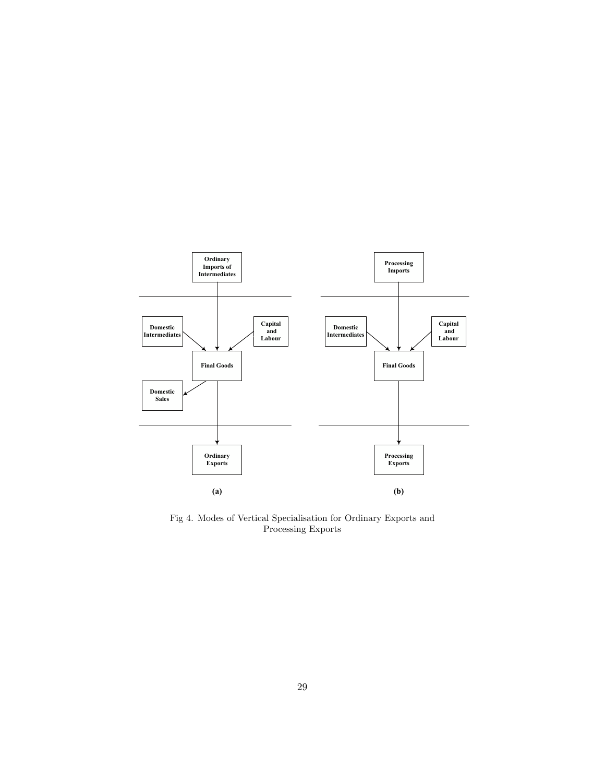

Fig 4. Modes of Vertical Specialisation for Ordinary Exports and Processing Exports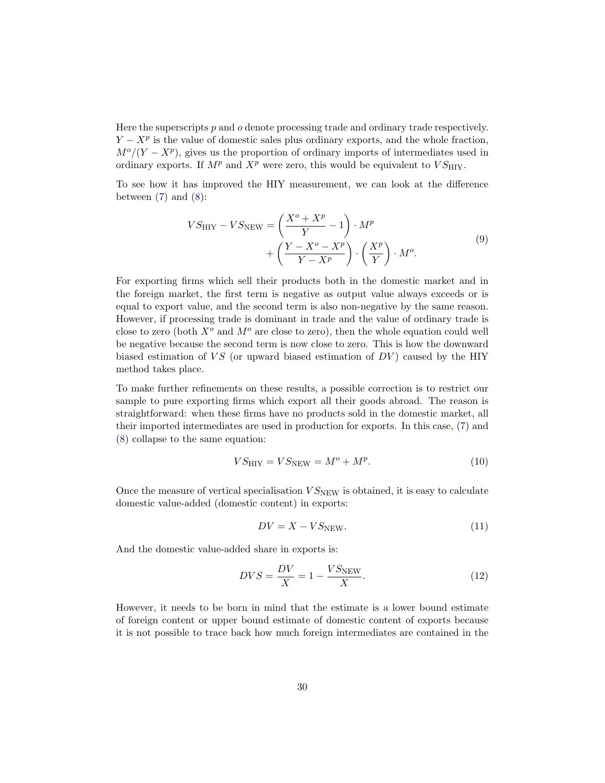Here the superscripts  $p$  and  $q$  denote processing trade and ordinary trade respectively.  $Y - X^p$  is the value of domestic sales plus ordinary exports, and the whole fraction,  $M^o/(Y - X^p)$ , gives us the proportion of ordinary imports of intermediates used in ordinary exports. If  $M^p$  and  $X^p$  were zero, this would be equivalent to  $VS_{\text{HIV}}$ .

To see how it has improved the HIY measurement, we can look at the difference between  $(7)$  and  $(8)$ :

$$
VS_{\text{HIV}} - VS_{\text{NEW}} = \left(\frac{X^o + X^p}{Y} - 1\right) \cdot M^p + \left(\frac{Y - X^o - X^p}{Y - X^p}\right) \cdot \left(\frac{X^p}{Y}\right) \cdot M^o.
$$
\n(9)

For exporting firms which sell their products both in the domestic market and in the foreign market, the first term is negative as output value always exceeds or is equal to export value, and the second term is also non-negative by the same reason. However, if processing trade is dominant in trade and the value of ordinary trade is close to zero (both  $X^o$  and  $M^o$  are close to zero), then the whole equation could well be negative because the second term is now close to zero. This is how the downward biased estimation of  $\overline{VS}$  (or upward biased estimation of  $\overline{DV}$ ) caused by the HIY method takes place.

To make further refinements on these results, a possible correction is to restrict our sample to pure exporting firms which export all their goods abroad. The reason is straightforward: when these firms have no products sold in the domestic market, all their imported intermediates are used in production for exports. In this case, (7) and (8) collapse to the same equation:

$$
VS_{\text{HIV}} = VS_{\text{NEW}} = M^o + M^p. \tag{10}
$$

Once the measure of vertical specialisation  $VS_{\text{NEW}}$  is obtained, it is easy to calculate domestic value-added (domestic content) in exports:

$$
DV = X - VS_{\text{NEW}}.\tag{11}
$$

And the domestic value-added share in exports is:

$$
DVS = \frac{DV}{X} = 1 - \frac{VS_{\text{NEW}}}{X}.\tag{12}
$$

However, it needs to be born in mind that the estimate is a lower bound estimate of foreign content or upper bound estimate of domestic content of exports because it is not possible to trace back how much foreign intermediates are contained in the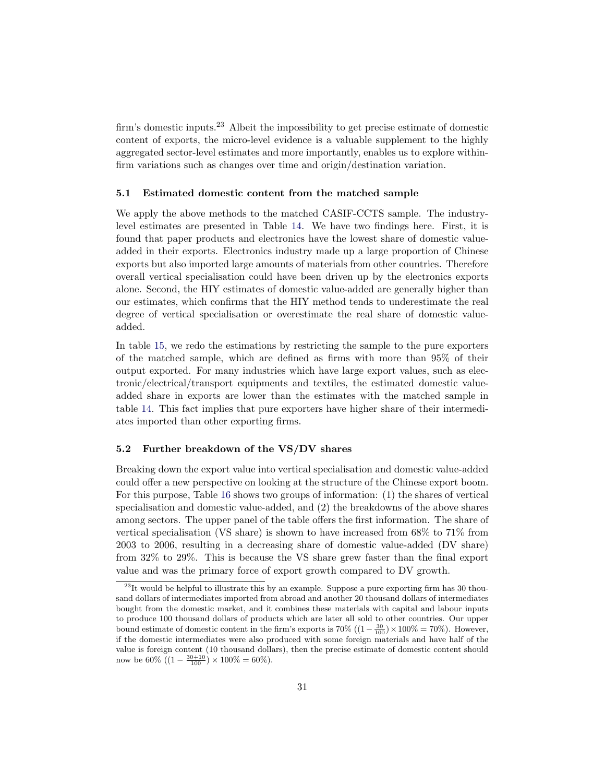firm's domestic inputs.<sup>23</sup> Albeit the impossibility to get precise estimate of domestic content of exports, the micro-level evidence is a valuable supplement to the highly aggregated sector-level estimates and more importantly, enables us to explore withinfirm variations such as changes over time and origin/destination variation.

#### **5.1 Estimated domestic content from the matched sample**

We apply the above methods to the matched CASIF-CCTS sample. The industrylevel estimates are presented in Table 14. We have two findings here. First, it is found that paper products and electronics have the lowest share of domestic valueadded in their exports. Electronics industry made up a large proportion of Chinese exports but also imported large amounts of materials from other countries. Therefore overall vertical specialisation could have been driven up by the electronics exports alone. Second, the HIY estimates of domestic value-added are generally higher than our estimates, which confirms that the HIY method tends to underestimate the real degree of vertical specialisation or overestimate the real share of domestic valueadded.

In table 15, we redo the estimations by restricting the sample to the pure exporters of the matched sample, which are defined as firms with more than 95% of their output exported. For many industries which have large export values, such as electronic/electrical/transport equipments and textiles, the estimated domestic valueadded share in exports are lower than the estimates with the matched sample in table 14. This fact implies that pure exporters have higher share of their intermediates imported than other exporting firms.

#### **5.2 Further breakdown of the VS/DV shares**

Breaking down the export value into vertical specialisation and domestic value-added could offer a new perspective on looking at the structure of the Chinese export boom. For this purpose, Table 16 shows two groups of information: (1) the shares of vertical specialisation and domestic value-added, and (2) the breakdowns of the above shares among sectors. The upper panel of the table offers the first information. The share of vertical specialisation (VS share) is shown to have increased from 68% to 71% from 2003 to 2006, resulting in a decreasing share of domestic value-added (DV share) from 32% to 29%. This is because the VS share grew faster than the final export value and was the primary force of export growth compared to DV growth.

 $^{23}$ It would be helpful to illustrate this by an example. Suppose a pure exporting firm has 30 thousand dollars of intermediates imported from abroad and another 20 thousand dollars of intermediates bought from the domestic market, and it combines these materials with capital and labour inputs to produce 100 thousand dollars of products which are later all sold to other countries. Our upper bound estimate of domestic content in the firm's exports is  $70\%$   $((1 - \frac{30}{100}) \times 100\% = 70\%).$  However, if the domestic intermediates were also produced with some foreign materials and have half of the value is foreign content (10 thousand dollars), then the precise estimate of domestic content should now be 60%  $((1 - \frac{30+10}{100}) \times 100\% = 60\%).$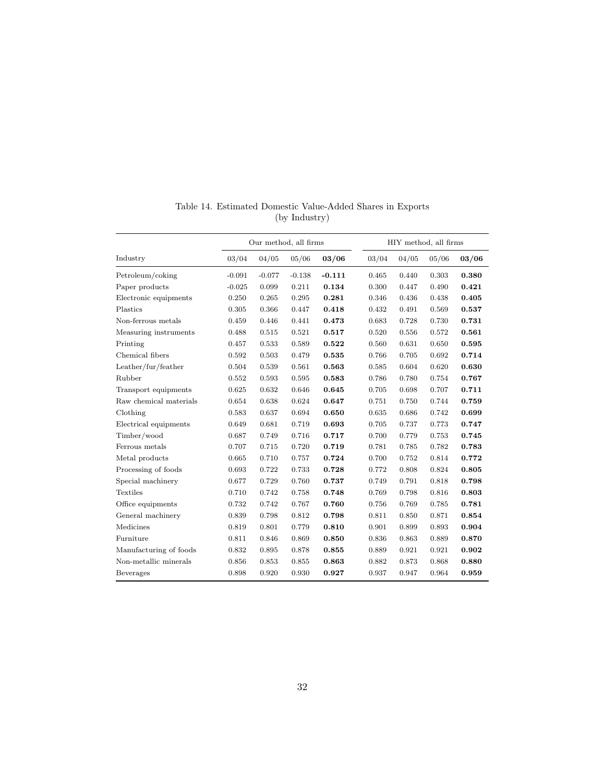|                        | Our method, all firms |          |          |          |       |       | HIY method, all firms |       |
|------------------------|-----------------------|----------|----------|----------|-------|-------|-----------------------|-------|
| Industry               | 03/04                 | 04/05    | 05/06    | 03/06    | 03/04 | 04/05 | 05/06                 | 03/06 |
| Petroleum/coking       | $-0.091$              | $-0.077$ | $-0.138$ | $-0.111$ | 0.465 | 0.440 | 0.303                 | 0.380 |
| Paper products         | $-0.025$              | 0.099    | 0.211    | 0.134    | 0.300 | 0.447 | 0.490                 | 0.421 |
| Electronic equipments  | 0.250                 | 0.265    | 0.295    | 0.281    | 0.346 | 0.436 | 0.438                 | 0.405 |
| Plastics               | 0.305                 | 0.366    | 0.447    | 0.418    | 0.432 | 0.491 | 0.569                 | 0.537 |
| Non-ferrous metals     | 0.459                 | 0.446    | 0.441    | 0.473    | 0.683 | 0.728 | 0.730                 | 0.731 |
| Measuring instruments  | 0.488                 | 0.515    | 0.521    | 0.517    | 0.520 | 0.556 | 0.572                 | 0.561 |
| Printing               | 0.457                 | 0.533    | 0.589    | 0.522    | 0.560 | 0.631 | 0.650                 | 0.595 |
| Chemical fibers        | 0.592                 | 0.503    | 0.479    | 0.535    | 0.766 | 0.705 | 0.692                 | 0.714 |
| Leather/fur/feather    | 0.504                 | 0.539    | 0.561    | 0.563    | 0.585 | 0.604 | 0.620                 | 0.630 |
| Rubber                 | 0.552                 | 0.593    | 0.595    | 0.583    | 0.786 | 0.780 | 0.754                 | 0.767 |
| Transport equipments   | 0.625                 | 0.632    | 0.646    | 0.645    | 0.705 | 0.698 | 0.707                 | 0.711 |
| Raw chemical materials | 0.654                 | 0.638    | 0.624    | 0.647    | 0.751 | 0.750 | 0.744                 | 0.759 |
| Clothing               | 0.583                 | 0.637    | 0.694    | 0.650    | 0.635 | 0.686 | 0.742                 | 0.699 |
| Electrical equipments  | 0.649                 | 0.681    | 0.719    | 0.693    | 0.705 | 0.737 | 0.773                 | 0.747 |
| Timber/wood            | 0.687                 | 0.749    | 0.716    | 0.717    | 0.700 | 0.779 | 0.753                 | 0.745 |
| Ferrous metals         | 0.707                 | 0.715    | 0.720    | 0.719    | 0.781 | 0.785 | 0.782                 | 0.783 |
| Metal products         | 0.665                 | 0.710    | 0.757    | 0.724    | 0.700 | 0.752 | 0.814                 | 0.772 |
| Processing of foods    | 0.693                 | 0.722    | 0.733    | 0.728    | 0.772 | 0.808 | 0.824                 | 0.805 |
| Special machinery      | 0.677                 | 0.729    | 0.760    | 0.737    | 0.749 | 0.791 | 0.818                 | 0.798 |
| <b>Textiles</b>        | 0.710                 | 0.742    | 0.758    | 0.748    | 0.769 | 0.798 | 0.816                 | 0.803 |
| Office equipments      | 0.732                 | 0.742    | 0.767    | 0.760    | 0.756 | 0.769 | 0.785                 | 0.781 |
| General machinery      | 0.839                 | 0.798    | 0.812    | 0.798    | 0.811 | 0.850 | 0.871                 | 0.854 |
| Medicines              | 0.819                 | 0.801    | 0.779    | 0.810    | 0.901 | 0.899 | 0.893                 | 0.904 |
| Furniture              | 0.811                 | 0.846    | 0.869    | 0.850    | 0.836 | 0.863 | 0.889                 | 0.870 |
| Manufacturing of foods | 0.832                 | 0.895    | 0.878    | 0.855    | 0.889 | 0.921 | 0.921                 | 0.902 |
| Non-metallic minerals  | 0.856                 | 0.853    | 0.855    | 0.863    | 0.882 | 0.873 | 0.868                 | 0.880 |
| Beverages              | 0.898                 | 0.920    | 0.930    | 0.927    | 0.937 | 0.947 | 0.964                 | 0.959 |

Table 14. Estimated Domestic Value-Added Shares in Exports (by Industry)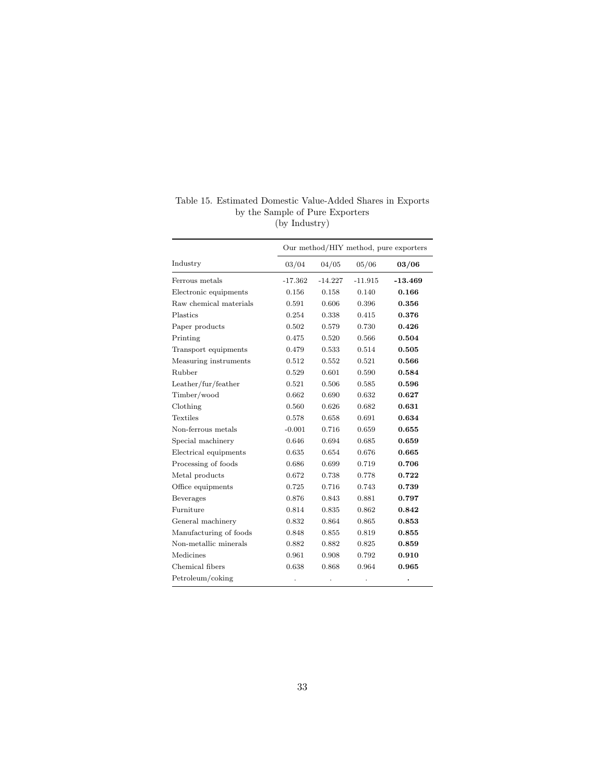|                        | Our method/HIY method, pure exporters |           |           |           |  |
|------------------------|---------------------------------------|-----------|-----------|-----------|--|
| Industry               | 03/04                                 | 04/05     | 05/06     | 03/06     |  |
| Ferrous metals         | $-17.362$                             | $-14.227$ | $-11.915$ | $-13.469$ |  |
| Electronic equipments  | 0.156                                 | 0.158     | 0.140     | 0.166     |  |
| Raw chemical materials | 0.591                                 | 0.606     | 0.396     | 0.356     |  |
| Plastics               | 0.254                                 | 0.338     | 0.415     | 0.376     |  |
| Paper products         | 0.502                                 | 0.579     | 0.730     | 0.426     |  |
| Printing               | 0.475                                 | 0.520     | 0.566     | 0.504     |  |
| Transport equipments   | 0.479                                 | 0.533     | 0.514     | 0.505     |  |
| Measuring instruments  | 0.512                                 | 0.552     | 0.521     | 0.566     |  |
| Rubber                 | 0.529                                 | 0.601     | 0.590     | 0.584     |  |
| Leather/fur/feather    | 0.521                                 | 0.506     | 0.585     | 0.596     |  |
| Timber/wood            | 0.662                                 | 0.690     | 0.632     | 0.627     |  |
| Clothing               | 0.560                                 | 0.626     | 0.682     | 0.631     |  |
| Textiles               | 0.578                                 | 0.658     | 0.691     | 0.634     |  |
| Non-ferrous metals     | $-0.001$                              | 0.716     | 0.659     | 0.655     |  |
| Special machinery      | 0.646                                 | 0.694     | 0.685     | 0.659     |  |
| Electrical equipments  | 0.635                                 | 0.654     | 0.676     | 0.665     |  |
| Processing of foods    | 0.686                                 | 0.699     | 0.719     | 0.706     |  |
| Metal products         | 0.672                                 | 0.738     | 0.778     | 0.722     |  |
| Office equipments      | 0.725                                 | 0.716     | 0.743     | 0.739     |  |
| Beverages              | 0.876                                 | 0.843     | 0.881     | 0.797     |  |
| Furniture              | 0.814                                 | 0.835     | 0.862     | 0.842     |  |
| General machinery      | 0.832                                 | 0.864     | 0.865     | 0.853     |  |
| Manufacturing of foods | 0.848                                 | 0.855     | 0.819     | 0.855     |  |
| Non-metallic minerals  | 0.882                                 | 0.882     | 0.825     | 0.859     |  |
| Medicines              | 0.961                                 | 0.908     | 0.792     | 0.910     |  |
| Chemical fibers        | 0.638                                 | 0.868     | 0.964     | 0.965     |  |
| Petroleum/coking       |                                       |           |           | $\bullet$ |  |

Table 15. Estimated Domestic Value-Added Shares in Exports by the Sample of Pure Exporters (by Industry)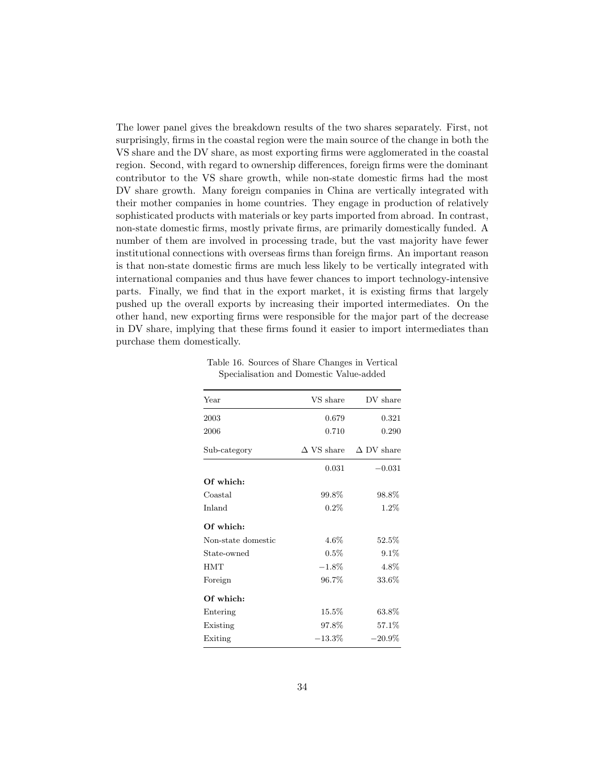The lower panel gives the breakdown results of the two shares separately. First, not surprisingly, firms in the coastal region were the main source of the change in both the VS share and the DV share, as most exporting firms were agglomerated in the coastal region. Second, with regard to ownership differences, foreign firms were the dominant contributor to the VS share growth, while non-state domestic firms had the most DV share growth. Many foreign companies in China are vertically integrated with their mother companies in home countries. They engage in production of relatively sophisticated products with materials or key parts imported from abroad. In contrast, non-state domestic firms, mostly private firms, are primarily domestically funded. A number of them are involved in processing trade, but the vast majority have fewer institutional connections with overseas firms than foreign firms. An important reason is that non-state domestic firms are much less likely to be vertically integrated with international companies and thus have fewer chances to import technology-intensive parts. Finally, we find that in the export market, it is existing firms that largely pushed up the overall exports by increasing their imported intermediates. On the other hand, new exporting firms were responsible for the major part of the decrease in DV share, implying that these firms found it easier to import intermediates than purchase them domestically.

Table 16. Sources of Share Changes in Vertical Specialisation and Domestic Value-added

| Year               | VS share          | DV share          |
|--------------------|-------------------|-------------------|
| 2003               | 0.679             | 0.321             |
| 2006               | 0.710             | 0.290             |
| Sub-category       | $\Delta$ VS share | $\Delta$ DV share |
|                    | 0.031             | $-0.031$          |
| Of which:          |                   |                   |
| Coastal            | 99.8%             | 98.8%             |
| Inland             | 0.2%              | $1.2\%$           |
| Of which:          |                   |                   |
| Non-state domestic | $4.6\%$           | $52.5\%$          |
| State-owned        | $0.5\%$           | $9.1\%$           |
| <b>HMT</b>         | $-1.8\%$          | 4.8%              |
| Foreign            | 96.7%             | $33.6\%$          |
| Of which:          |                   |                   |
| Entering           | $15.5\%$          | 63.8%             |
| Existing           | 97.8%             | 57.1%             |
| Exiting            | $-13.3\%$         | $-20.9\%$         |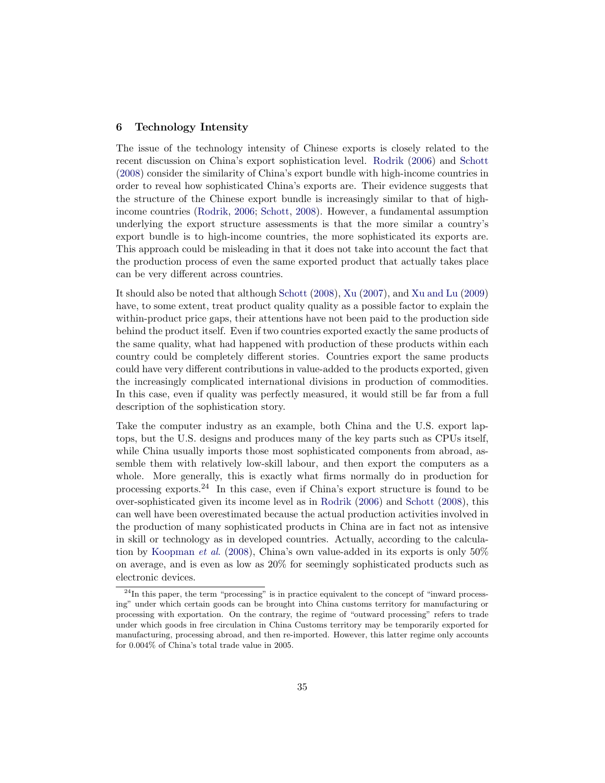## **6 Technology Intensity**

The issue of the technology intensity of Chinese exports is closely related to the recent discussion on China's export sophistication level. Rodrik (2006) and Schott (2008) consider the similarity of China's export bundle with high-income countries in order to reveal how sophisticated China's exports are. Their evidence suggests that the structure of the Chinese export bundle is increasingly similar to that of highincome countries (Rodrik, 2006; Schott, 2008). However, a fundamental assumption underlying the export structure assessments is that the more similar a country's export bundle is to high-income countries, the more sophisticated its exports are. This approach could be misleading in that it does not take into account the fact that the production process of even the same exported product that actually takes place can be very different across countries.

It should also be noted that although Schott (2008), Xu (2007), and Xu and Lu (2009) have, to some extent, treat product quality quality as a possible factor to explain the within-product price gaps, their attentions have not been paid to the production side behind the product itself. Even if two countries exported exactly the same products of the same quality, what had happened with production of these products within each country could be completely different stories. Countries export the same products could have very different contributions in value-added to the products exported, given the increasingly complicated international divisions in production of commodities. In this case, even if quality was perfectly measured, it would still be far from a full description of the sophistication story.

Take the computer industry as an example, both China and the U.S. export laptops, but the U.S. designs and produces many of the key parts such as CPUs itself, while China usually imports those most sophisticated components from abroad, assemble them with relatively low-skill labour, and then export the computers as a whole. More generally, this is exactly what firms normally do in production for processing exports.<sup>24</sup> In this case, even if China's export structure is found to be over-sophisticated given its income level as in Rodrik (2006) and Schott (2008), this can well have been overestimated because the actual production activities involved in the production of many sophisticated products in China are in fact not as intensive in skill or technology as in developed countries. Actually, according to the calculation by Koopman et al. (2008), China's own value-added in its exports is only 50% on average, and is even as low as 20% for seemingly sophisticated products such as electronic devices.

 $^{24}$ In this paper, the term "processing" is in practice equivalent to the concept of "inward processing" under which certain goods can be brought into China customs territory for manufacturing or processing with exportation. On the contrary, the regime of "outward processing" refers to trade under which goods in free circulation in China Customs territory may be temporarily exported for manufacturing, processing abroad, and then re-imported. However, this latter regime only accounts for 0.004% of China's total trade value in 2005.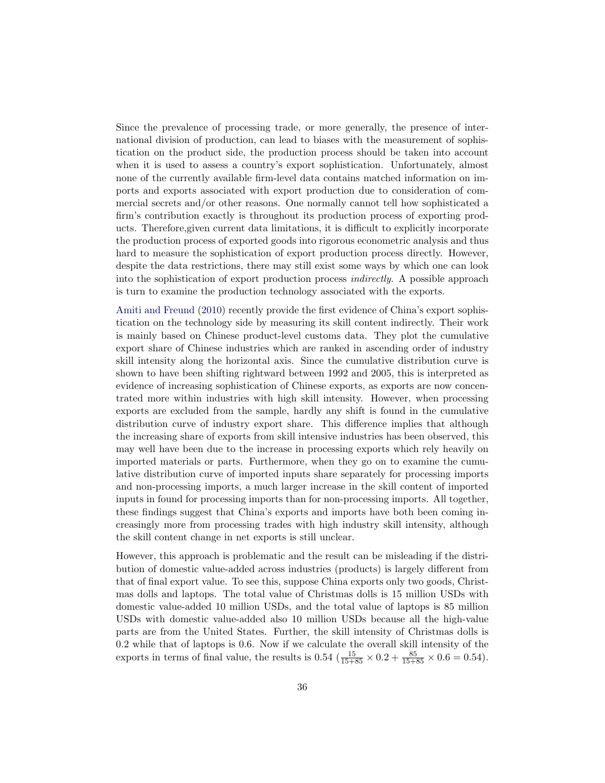Since the prevalence of processing trade, or more generally, the presence of international division of production, can lead to biases with the measurement of sophistication on the product side, the production process should be taken into account when it is used to assess a country's export sophistication. Unfortunately, almost none of the currently available firm-level data contains matched information on imports and exports associated with export production due to consideration of commercial secrets and/or other reasons. One normally cannot tell how sophisticated a firm's contribution exactly is throughout its production process of exporting products. Therefore,given current data limitations, it is difficult to explicitly incorporate the production process of exported goods into rigorous econometric analysis and thus hard to measure the sophistication of export production process directly. However, despite the data restrictions, there may still exist some ways by which one can look into the sophistication of export production process indirectly. A possible approach is turn to examine the production technology associated with the exports.

Amiti and Freund (2010) recently provide the first evidence of China's export sophistication on the technology side by measuring its skill content indirectly. Their work is mainly based on Chinese product-level customs data. They plot the cumulative export share of Chinese industries which are ranked in ascending order of industry skill intensity along the horizontal axis. Since the cumulative distribution curve is shown to have been shifting rightward between 1992 and 2005, this is interpreted as evidence of increasing sophistication of Chinese exports, as exports are now concentrated more within industries with high skill intensity. However, when processing exports are excluded from the sample, hardly any shift is found in the cumulative distribution curve of industry export share. This difference implies that although the increasing share of exports from skill intensive industries has been observed, this may well have been due to the increase in processing exports which rely heavily on imported materials or parts. Furthermore, when they go on to examine the cumulative distribution curve of imported inputs share separately for processing imports and non-processing imports, a much larger increase in the skill content of imported inputs in found for processing imports than for non-processing imports. All together, these findings suggest that China's exports and imports have both been coming increasingly more from processing trades with high industry skill intensity, although the skill content change in net exports is still unclear.

However, this approach is problematic and the result can be misleading if the distribution of domestic value-added across industries (products) is largely different from that of final export value. To see this, suppose China exports only two goods, Christmas dolls and laptops. The total value of Christmas dolls is 15 million USDs with domestic value-added 10 million USDs, and the total value of laptops is 85 million USDs with domestic value-added also 10 million USDs because all the high-value parts are from the United States. Further, the skill intensity of Christmas dolls is 0.2 while that of laptops is 0.6. Now if we calculate the overall skill intensity of the exports in terms of final value, the results is  $0.54 \left( \frac{15}{15+85} \times 0.2 + \frac{85}{15+85} \times 0.6 \right) = 0.54$ .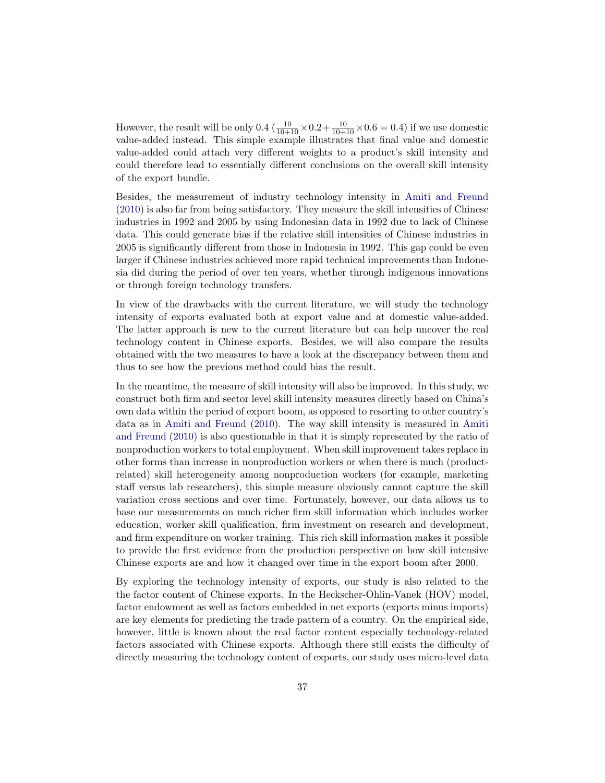However, the result will be only 0.4  $(\frac{10}{10+10} \times 0.2 + \frac{10}{10+10} \times 0.6 = 0.4)$  if we use domestic value-added instead. This simple example illustrates that final value and domestic value-added could attach very different weights to a product's skill intensity and could therefore lead to essentially different conclusions on the overall skill intensity of the export bundle.

Besides, the measurement of industry technology intensity in Amiti and Freund (2010) is also far from being satisfactory. They measure the skill intensities of Chinese industries in 1992 and 2005 by using Indonesian data in 1992 due to lack of Chinese data. This could generate bias if the relative skill intensities of Chinese industries in 2005 is significantly different from those in Indonesia in 1992. This gap could be even larger if Chinese industries achieved more rapid technical improvements than Indonesia did during the period of over ten years, whether through indigenous innovations or through foreign technology transfers.

In view of the drawbacks with the current literature, we will study the technology intensity of exports evaluated both at export value and at domestic value-added. The latter approach is new to the current literature but can help uncover the real technology content in Chinese exports. Besides, we will also compare the results obtained with the two measures to have a look at the discrepancy between them and thus to see how the previous method could bias the result.

In the meantime, the measure of skill intensity will also be improved. In this study, we construct both firm and sector level skill intensity measures directly based on China's own data within the period of export boom, as opposed to resorting to other country's data as in Amiti and Freund (2010). The way skill intensity is measured in Amiti and Freund (2010) is also questionable in that it is simply represented by the ratio of nonproduction workers to total employment. When skill improvement takes replace in other forms than increase in nonproduction workers or when there is much (productrelated) skill heterogeneity among nonproduction workers (for example, marketing staff versus lab researchers), this simple measure obviously cannot capture the skill variation cross sections and over time. Fortunately, however, our data allows us to base our measurements on much richer firm skill information which includes worker education, worker skill qualification, firm investment on research and development, and firm expenditure on worker training. This rich skill information makes it possible to provide the first evidence from the production perspective on how skill intensive Chinese exports are and how it changed over time in the export boom after 2000.

By exploring the technology intensity of exports, our study is also related to the the factor content of Chinese exports. In the Heckscher-Ohlin-Vanek (HOV) model, factor endowment as well as factors embedded in net exports (exports minus imports) are key elements for predicting the trade pattern of a country. On the empirical side, however, little is known about the real factor content especially technology-related factors associated with Chinese exports. Although there still exists the difficulty of directly measuring the technology content of exports, our study uses micro-level data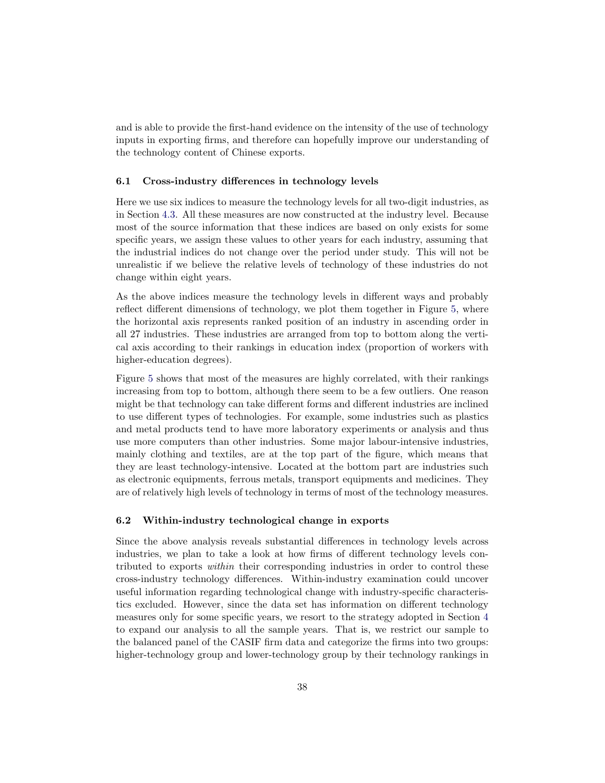and is able to provide the first-hand evidence on the intensity of the use of technology inputs in exporting firms, and therefore can hopefully improve our understanding of the technology content of Chinese exports.

#### **6.1 Cross-industry differences in technology levels**

Here we use six indices to measure the technology levels for all two-digit industries, as in Section 4.3. All these measures are now constructed at the industry level. Because most of the source information that these indices are based on only exists for some specific years, we assign these values to other years for each industry, assuming that the industrial indices do not change over the period under study. This will not be unrealistic if we believe the relative levels of technology of these industries do not change within eight years.

As the above indices measure the technology levels in different ways and probably reflect different dimensions of technology, we plot them together in Figure 5, where the horizontal axis represents ranked position of an industry in ascending order in all 27 industries. These industries are arranged from top to bottom along the vertical axis according to their rankings in education index (proportion of workers with higher-education degrees).

Figure 5 shows that most of the measures are highly correlated, with their rankings increasing from top to bottom, although there seem to be a few outliers. One reason might be that technology can take different forms and different industries are inclined to use different types of technologies. For example, some industries such as plastics and metal products tend to have more laboratory experiments or analysis and thus use more computers than other industries. Some major labour-intensive industries, mainly clothing and textiles, are at the top part of the figure, which means that they are least technology-intensive. Located at the bottom part are industries such as electronic equipments, ferrous metals, transport equipments and medicines. They are of relatively high levels of technology in terms of most of the technology measures.

#### **6.2 Within-industry technological change in exports**

Since the above analysis reveals substantial differences in technology levels across industries, we plan to take a look at how firms of different technology levels contributed to exports within their corresponding industries in order to control these cross-industry technology differences. Within-industry examination could uncover useful information regarding technological change with industry-specific characteristics excluded. However, since the data set has information on different technology measures only for some specific years, we resort to the strategy adopted in Section 4 to expand our analysis to all the sample years. That is, we restrict our sample to the balanced panel of the CASIF firm data and categorize the firms into two groups: higher-technology group and lower-technology group by their technology rankings in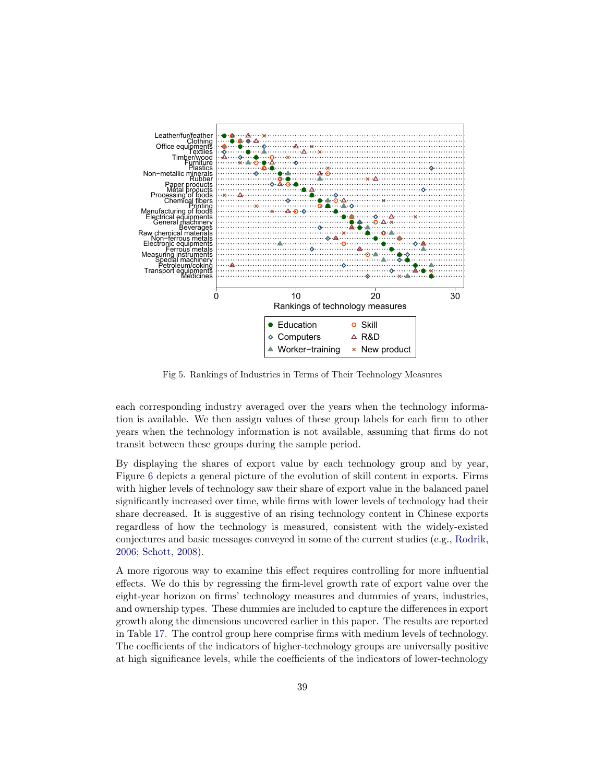

Fig 5. Rankings of Industries in Terms of Their Technology Measures

each corresponding industry averaged over the years when the technology information is available. We then assign values of these group labels for each firm to other years when the technology information is not available, assuming that firms do not transit between these groups during the sample period.

By displaying the shares of export value by each technology group and by year, Figure 6 depicts a general picture of the evolution of skill content in exports. Firms with higher levels of technology saw their share of export value in the balanced panel significantly increased over time, while firms with lower levels of technology had their share decreased. It is suggestive of an rising technology content in Chinese exports regardless of how the technology is measured, consistent with the widely-existed conjectures and basic messages conveyed in some of the current studies (e.g., Rodrik, 2006; Schott, 2008).

A more rigorous way to examine this effect requires controlling for more influential effects. We do this by regressing the firm-level growth rate of export value over the eight-year horizon on firms' technology measures and dummies of years, industries, and ownership types. These dummies are included to capture the differences in export growth along the dimensions uncovered earlier in this paper. The results are reported in Table 17. The control group here comprise firms with medium levels of technology. The coefficients of the indicators of higher-technology groups are universally positive at high significance levels, while the coefficients of the indicators of lower-technology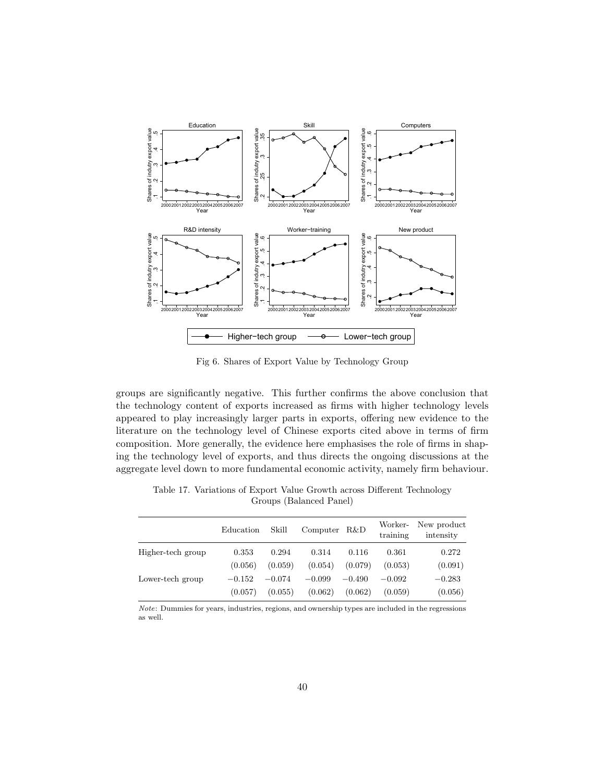

Fig 6. Shares of Export Value by Technology Group

groups are significantly negative. This further confirms the above conclusion that the technology content of exports increased as firms with higher technology levels appeared to play increasingly larger parts in exports, offering new evidence to the literature on the technology level of Chinese exports cited above in terms of firm composition. More generally, the evidence here emphasises the role of firms in shaping the technology level of exports, and thus directs the ongoing discussions at the aggregate level down to more fundamental economic activity, namely firm behaviour.

|                   | Education | Skill    | Computer | R&D      | Worker-<br>training | New product<br>intensity |
|-------------------|-----------|----------|----------|----------|---------------------|--------------------------|
| Higher-tech group | 0.353     | 0.294    | 0.314    | 0.116    | 0.361               | 0.272                    |
|                   | (0.056)   | (0.059)  | (0.054)  | (0.079)  | (0.053)             | (0.091)                  |
| Lower-tech group  | $-0.152$  | $-0.074$ | $-0.099$ | $-0.490$ | $-0.092$            | $-0.283$                 |
|                   | (0.057)   | (0.055)  | (0.062)  | (0.062)  | (0.059)             | (0.056)                  |

Table 17. Variations of Export Value Growth across Different Technology Groups (Balanced Panel)

Note: Dummies for years, industries, regions, and ownership types are included in the regressions as well.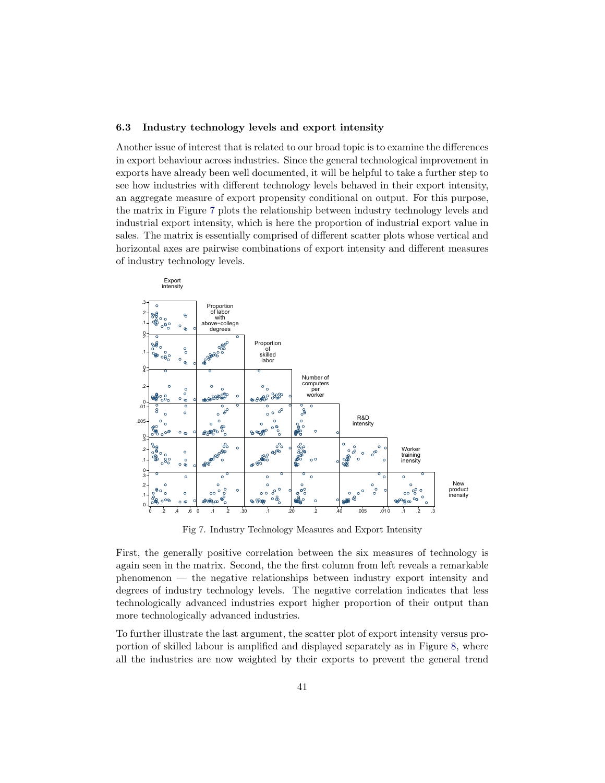#### **6.3** Industry technology levels and export intensity

Another issue of interest that is related to our broad topic is to examine the differences in export behaviour across industries. Since the general technological improvement in exports have already been well documented, it will be helpful to take a further step to see how industries with different technology levels behaved in their export intensity, an aggregate measure of export propensity conditional on output. For this purpose, the matrix in Figure 7 plots the relationship between industry technology levels and industrial export intensity, which is here the proportion of industrial export value in sales. The matrix is essentially comprised of different scatter plots whose vertical and horizontal axes are pairwise combinations of export intensity and different measures of industry technology levels.



Fig 7. Industry Technology Measures and Export Intensity

First, the generally positive correlation between the six measures of technology is again seen in the matrix. Second, the the first column from left reveals a remarkable phenomenon — the negative relationships between industry export intensity and degrees of industry technology levels. The negative correlation indicates that less technologically advanced industries export higher proportion of their output than more technologically advanced industries.

To further illustrate the last argument, the scatter plot of export intensity versus proportion of skilled labour is amplified and displayed separately as in Figure 8, where all the industries are now weighted by their exports to prevent the general trend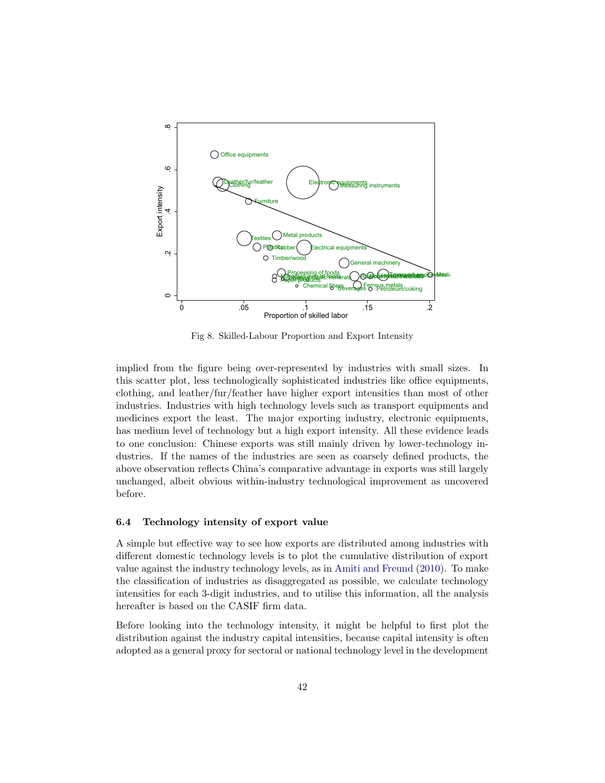

Fig 8. Skilled-Labour Proportion and Export Intensity

implied from the figure being over-represented by industries with small sizes. In this scatter plot, less technologically sophisticated industries like office equipments, clothing, and leather/fur/feather have higher export intensities than most of other industries. Industries with high technology levels such as transport equipments and medicines export the least. The major exporting industry, electronic equipments, has medium level of technology but a high export intensity. All these evidence leads to one conclusion: Chinese exports was still mainly driven by lower-technology industries. If the names of the industries are seen as coarsely defined products, the above observation reflects China's comparative advantage in exports was still largely unchanged, albeit obvious within-industry technological improvement as uncovered before.

## **6.4 Technology intensity of export value**

A simple but effective way to see how exports are distributed among industries with different domestic technology levels is to plot the cumulative distribution of export value against the industry technology levels, as in Amiti and Freund (2010). To make the classification of industries as disaggregated as possible, we calculate technology intensities for each 3-digit industries, and to utilise this information, all the analysis hereafter is based on the CASIF firm data.

Before looking into the technology intensity, it might be helpful to first plot the distribution against the industry capital intensities, because capital intensity is often adopted as a general proxy for sectoral or national technology level in the development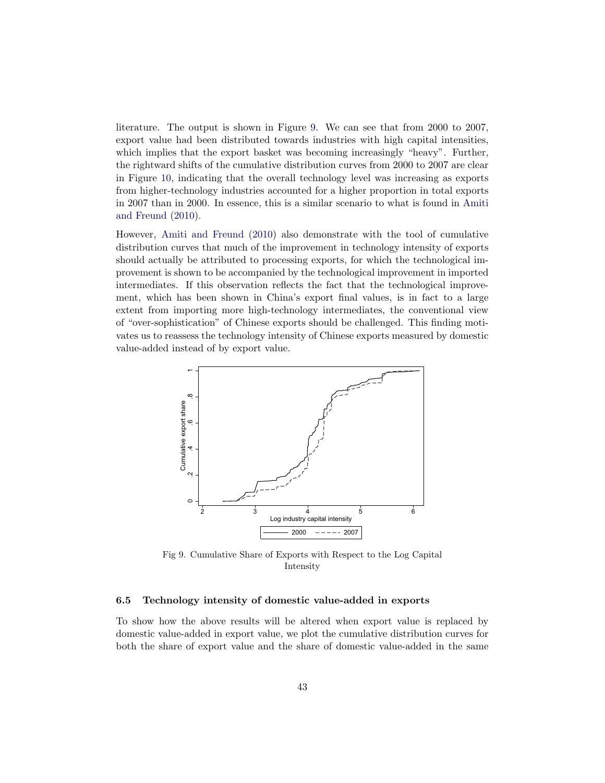literature. The output is shown in Figure 9. We can see that from 2000 to 2007, export value had been distributed towards industries with high capital intensities, which implies that the export basket was becoming increasingly "heavy". Further, the rightward shifts of the cumulative distribution curves from 2000 to 2007 are clear in Figure 10, indicating that the overall technology level was increasing as exports from higher-technology industries accounted for a higher proportion in total exports in 2007 than in 2000. In essence, this is a similar scenario to what is found in Amiti and Freund (2010).

However, Amiti and Freund (2010) also demonstrate with the tool of cumulative distribution curves that much of the improvement in technology intensity of exports should actually be attributed to processing exports, for which the technological improvement is shown to be accompanied by the technological improvement in imported intermediates. If this observation reflects the fact that the technological improvement, which has been shown in China's export final values, is in fact to a large extent from importing more high-technology intermediates, the conventional view of "over-sophistication" of Chinese exports should be challenged. This finding motivates us to reassess the technology intensity of Chinese exports measured by domestic value-added instead of by export value.



Fig 9. Cumulative Share of Exports with Respect to the Log Capital Intensity

#### **6.5 Technology intensity of domestic value-added in exports**

To show how the above results will be altered when export value is replaced by domestic value-added in export value, we plot the cumulative distribution curves for both the share of export value and the share of domestic value-added in the same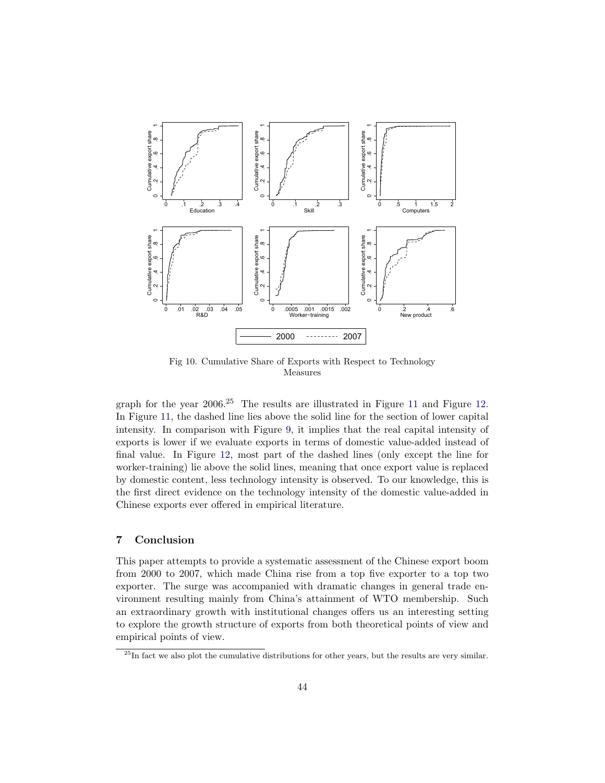

Fig 10. Cumulative Share of Exports with Respect to Technology Measures

graph for the year  $2006<sup>25</sup>$  The results are illustrated in Figure 11 and Figure 12. In Figure 11, the dashed line lies above the solid line for the section of lower capital intensity. In comparison with Figure 9, it implies that the real capital intensity of exports is lower if we evaluate exports in terms of domestic value-added instead of final value. In Figure 12, most part of the dashed lines (only except the line for worker-training) lie above the solid lines, meaning that once export value is replaced by domestic content, less technology intensity is observed. To our knowledge, this is the first direct evidence on the technology intensity of the domestic value-added in Chinese exports ever offered in empirical literature.

## **7 Conclusion**

This paper attempts to provide a systematic assessment of the Chinese export boom from 2000 to 2007, which made China rise from a top five exporter to a top two exporter. The surge was accompanied with dramatic changes in general trade environment resulting mainly from China's attainment of WTO membership. Such an extraordinary growth with institutional changes offers us an interesting setting to explore the growth structure of exports from both theoretical points of view and empirical points of view.

<sup>&</sup>lt;sup>25</sup>In fact we also plot the cumulative distributions for other years, but the results are very similar.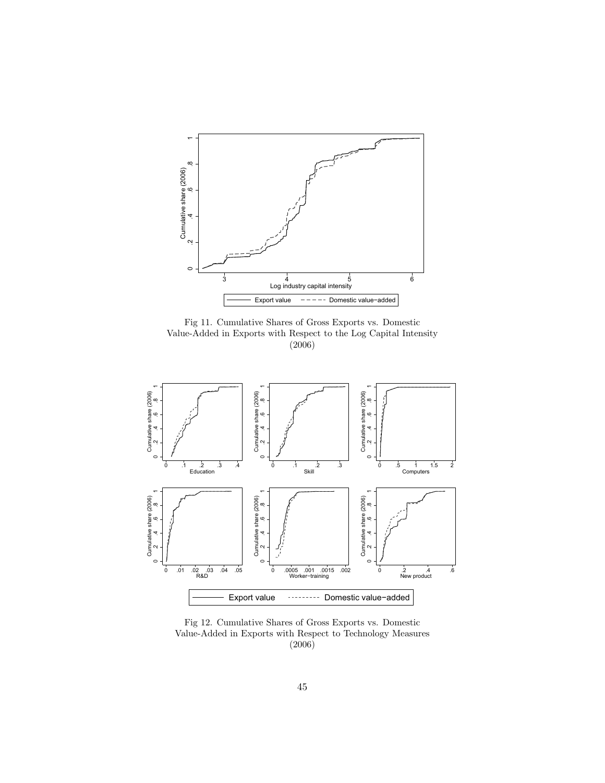

Fig 11. Cumulative Shares of Gross Exports vs. Domestic Value-Added in Exports with Respect to the Log Capital Intensity (2006)



Fig 12. Cumulative Shares of Gross Exports vs. Domestic Value-Added in Exports with Respect to Technology Measures (2006)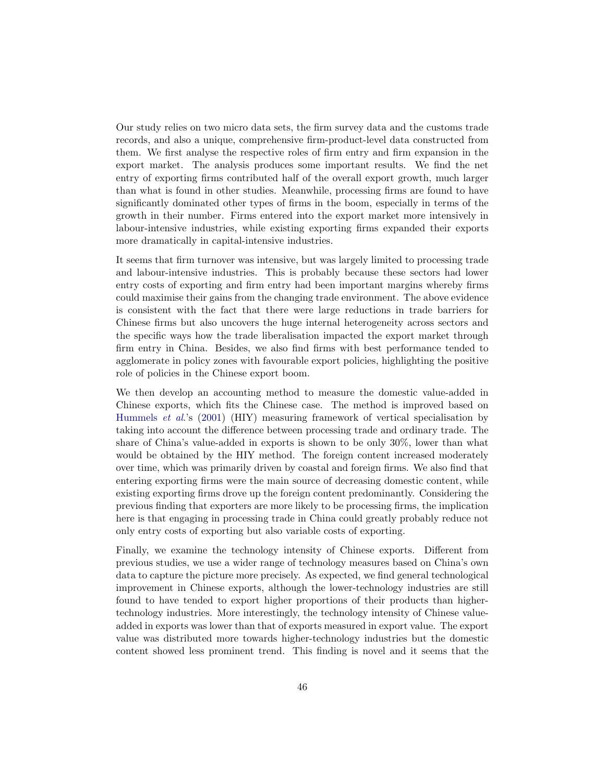Our study relies on two micro data sets, the firm survey data and the customs trade records, and also a unique, comprehensive firm-product-level data constructed from them. We first analyse the respective roles of firm entry and firm expansion in the export market. The analysis produces some important results. We find the net entry of exporting firms contributed half of the overall export growth, much larger than what is found in other studies. Meanwhile, processing firms are found to have significantly dominated other types of firms in the boom, especially in terms of the growth in their number. Firms entered into the export market more intensively in labour-intensive industries, while existing exporting firms expanded their exports more dramatically in capital-intensive industries.

It seems that firm turnover was intensive, but was largely limited to processing trade and labour-intensive industries. This is probably because these sectors had lower entry costs of exporting and firm entry had been important margins whereby firms could maximise their gains from the changing trade environment. The above evidence is consistent with the fact that there were large reductions in trade barriers for Chinese firms but also uncovers the huge internal heterogeneity across sectors and the specific ways how the trade liberalisation impacted the export market through firm entry in China. Besides, we also find firms with best performance tended to agglomerate in policy zones with favourable export policies, highlighting the positive role of policies in the Chinese export boom.

We then develop an accounting method to measure the domestic value-added in Chinese exports, which fits the Chinese case. The method is improved based on Hummels et al.'s (2001) (HIY) measuring framework of vertical specialisation by taking into account the difference between processing trade and ordinary trade. The share of China's value-added in exports is shown to be only 30%, lower than what would be obtained by the HIY method. The foreign content increased moderately over time, which was primarily driven by coastal and foreign firms. We also find that entering exporting firms were the main source of decreasing domestic content, while existing exporting firms drove up the foreign content predominantly. Considering the previous finding that exporters are more likely to be processing firms, the implication here is that engaging in processing trade in China could greatly probably reduce not only entry costs of exporting but also variable costs of exporting.

Finally, we examine the technology intensity of Chinese exports. Different from previous studies, we use a wider range of technology measures based on China's own data to capture the picture more precisely. As expected, we find general technological improvement in Chinese exports, although the lower-technology industries are still found to have tended to export higher proportions of their products than highertechnology industries. More interestingly, the technology intensity of Chinese valueadded in exports was lower than that of exports measured in export value. The export value was distributed more towards higher-technology industries but the domestic content showed less prominent trend. This finding is novel and it seems that the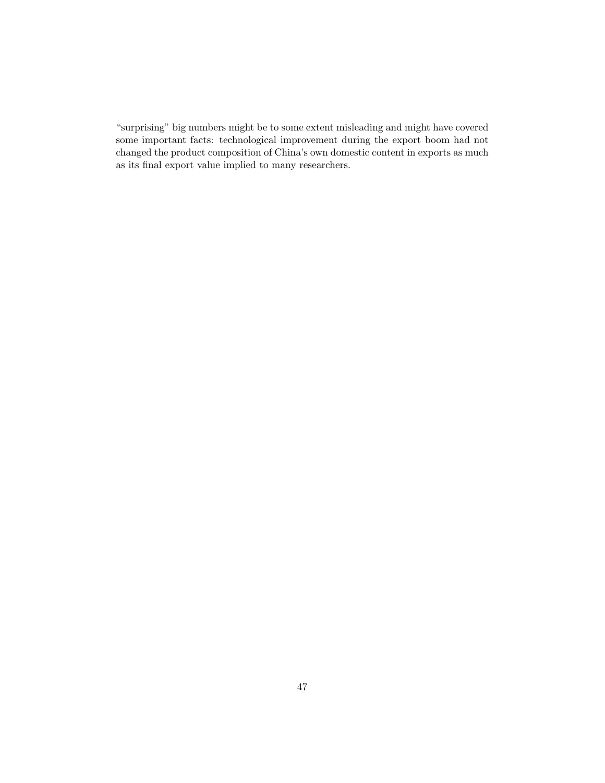"surprising" big numbers might be to some extent misleading and might have covered some important facts: technological improvement during the export boom had not changed the product composition of China's own domestic content in exports as much as its final export value implied to many researchers.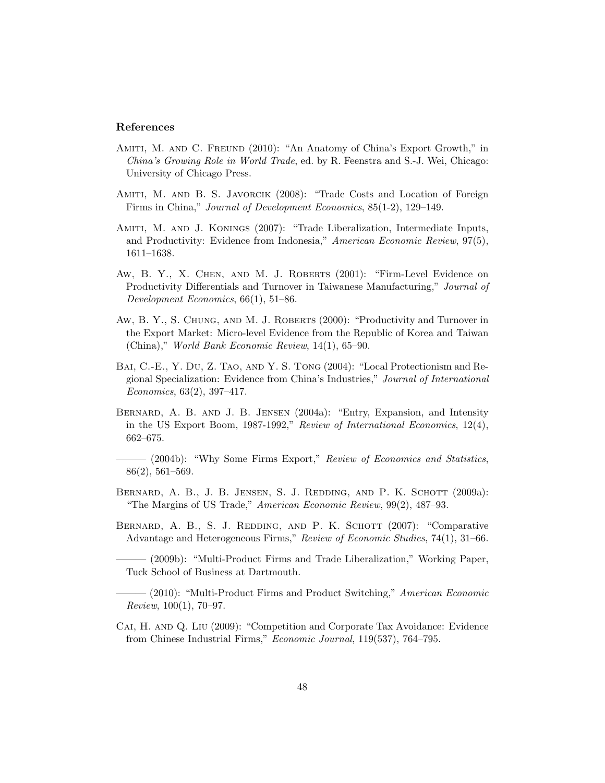## **References**

- AMITI, M. AND C. FREUND (2010): "An Anatomy of China's Export Growth," in China's Growing Role in World Trade, ed. by R. Feenstra and S.-J. Wei, Chicago: University of Chicago Press.
- AMITI, M. AND B. S. JAVORCIK (2008): "Trade Costs and Location of Foreign Firms in China," Journal of Development Economics, 85(1-2), 129–149.
- AMITI, M. AND J. KONINGS (2007): "Trade Liberalization, Intermediate Inputs, and Productivity: Evidence from Indonesia," American Economic Review, 97(5), 1611–1638.
- Aw, B.Y., X. CHEN, AND M. J. ROBERTS (2001): "Firm-Level Evidence on Productivity Differentials and Turnover in Taiwanese Manufacturing," Journal of Development Economics, 66(1), 51–86.
- AW, B.Y., S. CHUNG, AND M. J. ROBERTS (2000): "Productivity and Turnover in the Export Market: Micro-level Evidence from the Republic of Korea and Taiwan (China)," World Bank Economic Review, 14(1), 65–90.
- Bai, C.-E., Y.Du, Z.Tao, and Y.S.Tong (2004): "Local Protectionism and Regional Specialization: Evidence from China's Industries," Journal of International Economics, 63(2), 397–417.
- Bernard, A.B.and J.B.Jensen (2004a): "Entry, Expansion, and Intensity in the US Export Boom, 1987-1992," Review of International Economics,  $12(4)$ , 662–675.
- (2004b): "Why Some Firms Export," Review of Economics and Statistics, 86(2), 561–569.
- BERNARD, A.B., J.B. JENSEN, S.J. REDDING, AND P.K. SCHOTT (2009a): "The Margins of US Trade," American Economic Review, 99(2), 487–93.
- BERNARD, A. B., S. J. REDDING, AND P. K. SCHOTT (2007): "Comparative Advantage and Heterogeneous Firms," Review of Economic Studies, 74(1), 31–66.
- (2009b): "Multi-Product Firms and Trade Liberalization," Working Paper, Tuck School of Business at Dartmouth.
- (2010): "Multi-Product Firms and Product Switching," American Economic  $Review, 100(1), 70-97.$
- Cai, H.and Q.Liu (2009): "Competition and Corporate Tax Avoidance: Evidence from Chinese Industrial Firms," Economic Journal, 119(537), 764–795.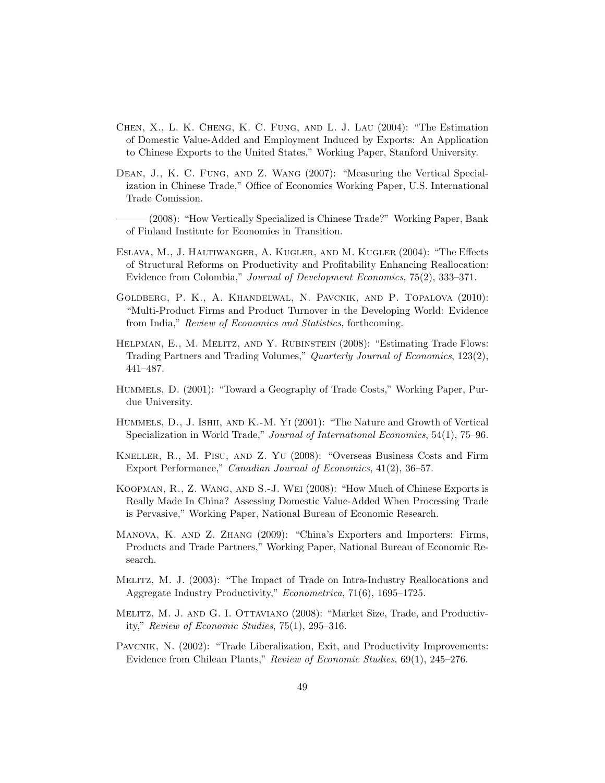- Chen, X., L.K.Cheng, K.C.Fung, and L.J.Lau (2004): "The Estimation of Domestic Value-Added and Employment Induced by Exports: An Application to Chinese Exports to the United States," Working Paper, Stanford University.
- DEAN, J., K. C. FUNG, AND Z. WANG (2007): "Measuring the Vertical Specialization in Chinese Trade," Office of Economics Working Paper, U.S. International Trade Comission.

——— (2008): "How Vertically Specialized is Chinese Trade?" Working Paper, Bank of Finland Institute for Economies in Transition.

- Eslava, M., J.Haltiwanger, A.Kugler, and M.Kugler (2004): "The Effects of Structural Reforms on Productivity and Profitability Enhancing Reallocation: Evidence from Colombia," Journal of Development Economics, 75(2), 333–371.
- Goldberg, P.K., A.Khandelwal, N.Pavcnik, and P.Topalova (2010): "Multi-Product Firms and Product Turnover in the Developing World: Evidence from India," Review of Economics and Statistics, forthcoming.
- HELPMAN, E., M. MELITZ, AND Y. RUBINSTEIN (2008): "Estimating Trade Flows: Trading Partners and Trading Volumes," Quarterly Journal of Economics, 123(2), 441–487.
- Hummels, D. (2001): "Toward a Geography of Trade Costs," Working Paper, Purdue University.
- Hummels, D., J. Ishii, and K.-M. Yi (2001): "The Nature and Growth of Vertical Specialization in World Trade," Journal of International Economics, 54(1), 75–96.
- Kneller, R., M.Pisu, and Z.Yu (2008): "Overseas Business Costs and Firm Export Performance," Canadian Journal of Economics, 41(2), 36–57.
- Koopman, R., Z. Wang, and S.-J. Wei (2008): "How Much of Chinese Exports is Really Made In China? Assessing Domestic Value-Added When Processing Trade is Pervasive," Working Paper, National Bureau of Economic Research.
- MANOVA, K. AND Z. ZHANG (2009): "China's Exporters and Importers: Firms, Products and Trade Partners," Working Paper, National Bureau of Economic Research.
- Melitz, M.J. (2003): "The Impact of Trade on Intra-Industry Reallocations and Aggregate Industry Productivity," Econometrica, 71(6), 1695–1725.
- Melitz, M.J.and G.I.Ottaviano (2008): "Market Size, Trade, and Productivity," Review of Economic Studies, 75(1), 295–316.
- PAVCNIK, N. (2002): "Trade Liberalization, Exit, and Productivity Improvements: Evidence from Chilean Plants," Review of Economic Studies, 69(1), 245–276.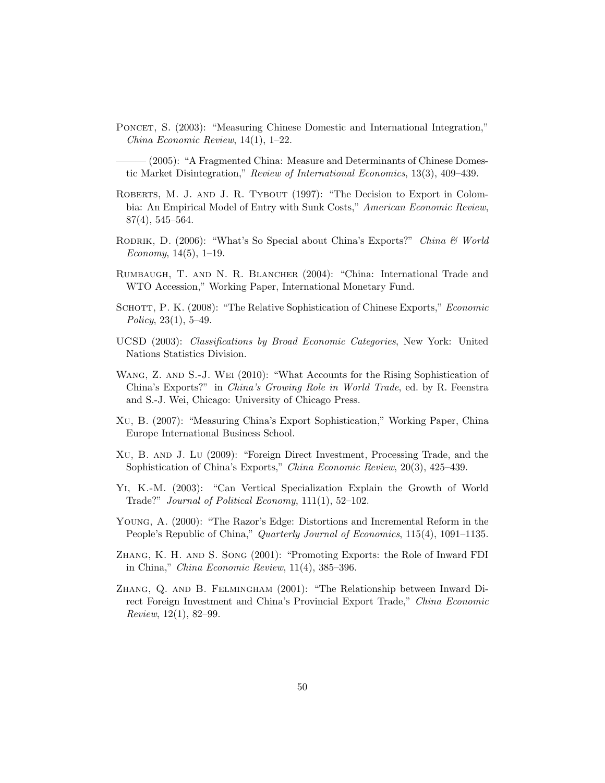Poncet, S. (2003): "Measuring Chinese Domestic and International Integration," China Economic Review, 14(1), 1–22.

 $(2005)$ : "A Fragmented China: Measure and Determinants of Chinese Domestic Market Disintegration," Review of International Economics, 13(3), 409–439.

- ROBERTS, M. J. AND J. R. TYBOUT (1997): "The Decision to Export in Colombia: An Empirical Model of Entry with Sunk Costs," American Economic Review, 87(4), 545–564.
- RODRIK, D. (2006): "What's So Special about China's Exports?" China & World Economy,  $14(5)$ ,  $1-19$ .
- RUMBAUGH, T. AND N. R. BLANCHER (2004): "China: International Trade and WTO Accession," Working Paper, International Monetary Fund.
- SCHOTT, P. K. (2008): "The Relative Sophistication of Chinese Exports," *Economic* Policy,  $23(1)$ ,  $5-49$ .
- UCSD (2003): Classifications by Broad Economic Categories, New York: United Nations Statistics Division.
- WANG, Z. AND S.-J. WEI (2010): "What Accounts for the Rising Sophistication of China's Exports?" in China's Growing Role in World Trade, ed. by R. Feenstra and S.-J. Wei, Chicago: University of Chicago Press.
- Xu, B. (2007): "Measuring China's Export Sophistication," Working Paper, China Europe International Business School.
- Xu, B.and J.Lu (2009): "Foreign Direct Investment, Processing Trade, and the Sophistication of China's Exports," China Economic Review, 20(3), 425–439.
- Yi, K.-M. (2003): "Can Vertical Specialization Explain the Growth of World Trade?" Journal of Political Economy, 111(1), 52–102.
- Young, A. (2000): "The Razor's Edge: Distortions and Incremental Reform in the People's Republic of China," Quarterly Journal of Economics, 115(4), 1091–1135.
- Zhang, K.H.and S.Song (2001): "Promoting Exports: the Role of Inward FDI in China," China Economic Review, 11(4), 385–396.
- Zhang, Q.and B.Felmingham (2001): "The Relationship between Inward Direct Foreign Investment and China's Provincial Export Trade," China Economic Review, 12(1), 82–99.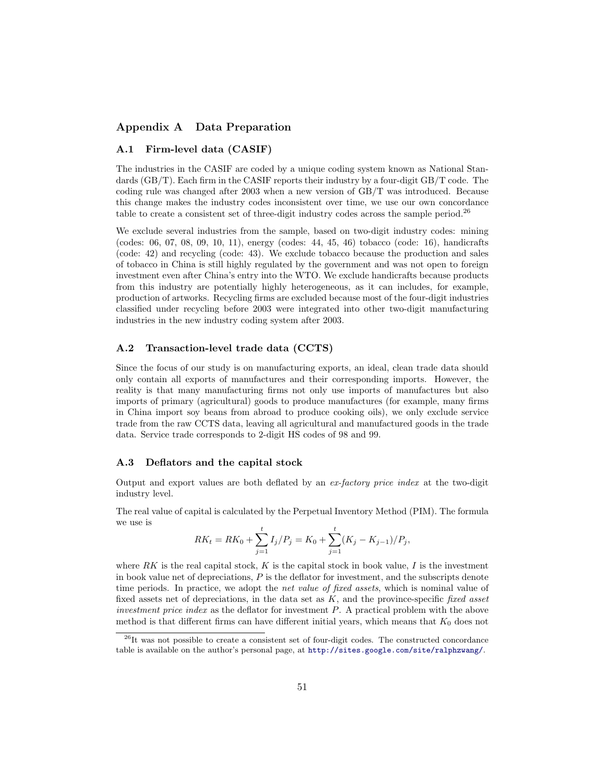## **Appendix A Data Preparation**

#### **A.1 Firm-level data (CASIF)**

The industries in the CASIF are coded by a unique coding system known as National Standards (GB/T). Each firm in the CASIF reports their industry by a four-digit GB/T code. The coding rule was changed after 2003 when a new version of GB/T was introduced. Because this change makes the industry codes inconsistent over time, we use our own concordance table to create a consistent set of three-digit industry codes across the sample period.<sup>26</sup>

We exclude several industries from the sample, based on two-digit industry codes: mining (codes: 06, 07, 08, 09, 10, 11), energy (codes: 44, 45, 46) tobacco (code: 16), handicrafts (code: 42) and recycling (code: 43). We exclude tobacco because the production and sales of tobacco in China is still highly regulated by the government and was not open to foreign investment even after China's entry into the WTO. We exclude handicrafts because products from this industry are potentially highly heterogeneous, as it can includes, for example, production of artworks. Recycling firms are excluded because most of the four-digit industries classified under recycling before 2003 were integrated into other two-digit manufacturing industries in the new industry coding system after 2003.

## **A.2 Transaction-level trade data (CCTS)**

Since the focus of our study is on manufacturing exports, an ideal, clean trade data should only contain all exports of manufactures and their corresponding imports. However, the reality is that many manufacturing firms not only use imports of manufactures but also imports of primary (agricultural) goods to produce manufactures (for example, many firms in China import soy beans from abroad to produce cooking oils), we only exclude service trade from the raw CCTS data, leaving all agricultural and manufactured goods in the trade data. Service trade corresponds to 2-digit HS codes of 98 and 99.

#### A.3 Deflators and the capital stock

Output and export values are both deflated by an ex-factory price index at the two-digit industry level.

The real value of capital is calculated by the Perpetual Inventory Method (PIM). The formula we use is

$$
RK_t = RK_0 + \sum_{j=1}^t I_j/P_j = K_0 + \sum_{j=1}^t (K_j - K_{j-1})/P_j,
$$

where  $\overline{RK}$  is the real capital stock,  $\overline{K}$  is the capital stock in book value,  $\overline{I}$  is the investment in book value net of depreciations,  $P$  is the deflator for investment, and the subscripts denote time periods. In practice, we adopt the *net value of fixed assets*, which is nominal value of fixed assets net of depreciations, in the data set as  $K$ , and the province-specific fixed asset investment price index as the deflator for investment  $P$ . A practical problem with the above method is that different firms can have different initial years, which means that  $K_0$  does not

<sup>&</sup>lt;sup>26</sup>It was not possible to create a consistent set of four-digit codes. The constructed concordance table is available on the author's personal page, at http://sites.google.com/site/ralphzwang/.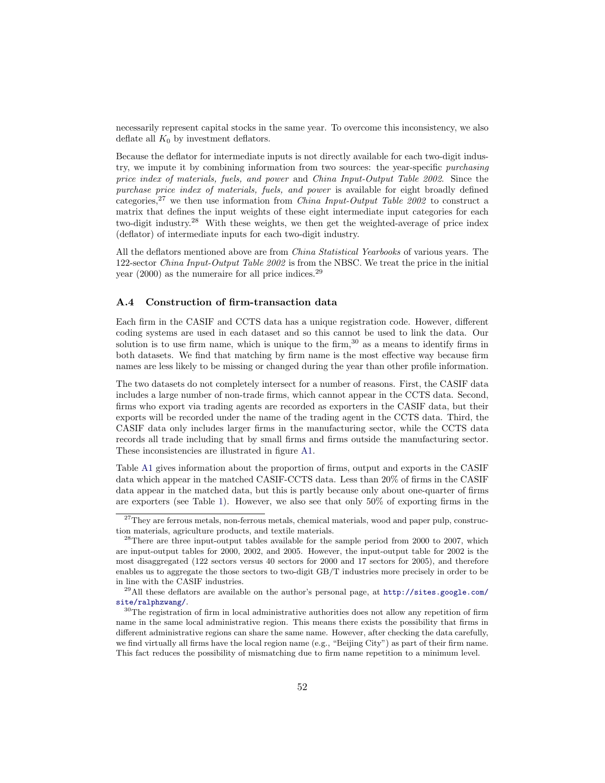necessarily represent capital stocks in the same year. To overcome this inconsistency, we also deflate all  $K_0$  by investment deflators.

Because the deflator for intermediate inputs is not directly available for each two-digit industry, we impute it by combining information from two sources: the year-specific purchasing price index of materials, fuels, and power and China Input-Output Table 2002. Since the purchase price index of materials, fuels, and power is available for eight broadly defined categories,<sup>27</sup> we then use information from *China Input-Output Table 2002* to construct a matrix that defines the input weights of these eight intermediate input categories for each two-digit industry.<sup>28</sup> With these weights, we then get the weighted-average of price index (deflator) of intermediate inputs for each two-digit industry.

All the deflators mentioned above are from China Statistical Yearbooks of various years. The 122-sector China Input-Output Table 2002 is from the NBSC. We treat the price in the initial year  $(2000)$  as the numeraire for all price indices.<sup>29</sup>

#### **A.4 Construction of firm-transaction data**

Each firm in the CASIF and CCTS data has a unique registration code. However, different coding systems are used in each dataset and so this cannot be used to link the data. Our solution is to use firm name, which is unique to the firm, $30$  as a means to identify firms in both datasets. We find that matching by firm name is the most effective way because firm names are less likely to be missing or changed during the year than other profile information.

The two datasets do not completely intersect for a number of reasons. First, the CASIF data includes a large number of non-trade firms, which cannot appear in the CCTS data. Second, firms who export via trading agents are recorded as exporters in the CASIF data, but their exports will be recorded under the name of the trading agent in the CCTS data. Third, the CASIF data only includes larger firms in the manufacturing sector, while the CCTS data records all trade including that by small firms and firms outside the manufacturing sector. These inconsistencies are illustrated in figure A1.

Table A1 gives information about the proportion of firms, output and exports in the CASIF data which appear in the matched CASIF-CCTS data. Less than 20% of firms in the CASIF data appear in the matched data, but this is partly because only about one-quarter of firms are exporters (see Table 1). However, we also see that only 50% of exporting firms in the

 $27$ They are ferrous metals, non-ferrous metals, chemical materials, wood and paper pulp, construction materials, agriculture products, and textile materials.

<sup>&</sup>lt;sup>28</sup>There are three input-output tables available for the sample period from 2000 to 2007, which are input-output tables for 2000, 2002, and 2005. However, the input-output table for 2002 is the most disaggregated (122 sectors versus 40 sectors for 2000 and 17 sectors for 2005), and therefore enables us to aggregate the those sectors to two-digit GB/T industries more precisely in order to be in line with the CASIF industries.

<sup>&</sup>lt;sup>29</sup>All these deflators are available on the author's personal page, at http://sites.google.com/ site/ralphzwang/.

<sup>&</sup>lt;sup>30</sup>The registration of firm in local administrative authorities does not allow any repetition of firm name in the same local administrative region. This means there exists the possibility that firms in different administrative regions can share the same name. However, after checking the data carefully, we find virtually all firms have the local region name (e.g., "Beijing City") as part of their firm name. This fact reduces the possibility of mismatching due to firm name repetition to a minimum level.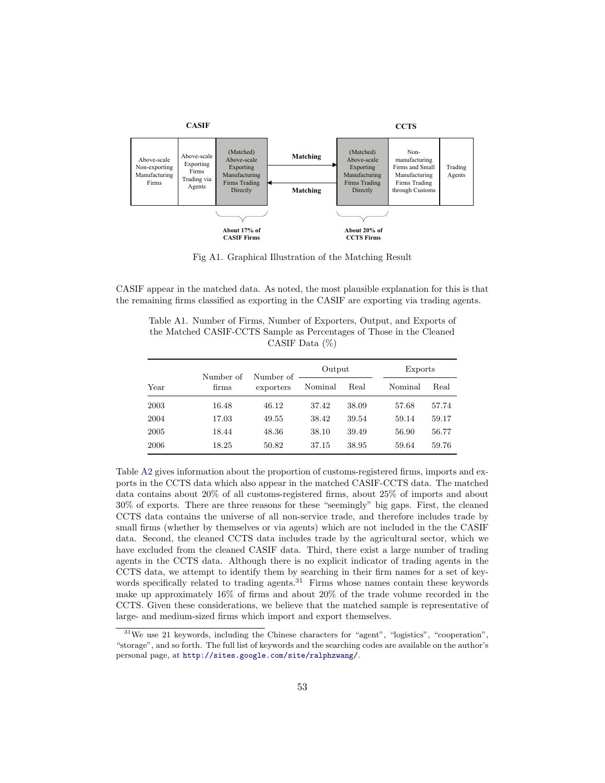

Fig A1. Graphical Illustration of the Matching Result

CASIF appear in the matched data. As noted, the most plausible explanation for this is that the remaining firms classified as exporting in the CASIF are exporting via trading agents.

Table A1. Number of Firms, Number of Exporters, Output, and Exports of the Matched CASIF-CCTS Sample as Percentages of Those in the Cleaned CASIF Data (%)

|      | Number of | Number of | Output  |       | Exports |       |
|------|-----------|-----------|---------|-------|---------|-------|
| Year | firms     | exporters | Nominal | Real  | Nominal | Real  |
| 2003 | 16.48     | 46.12     | 37.42   | 38.09 | 57.68   | 57.74 |
| 2004 | 17.03     | 49.55     | 38.42   | 39.54 | 59.14   | 59.17 |
| 2005 | 18.44     | 48.36     | 38.10   | 39.49 | 56.90   | 56.77 |
| 2006 | 18.25     | 50.82     | 37.15   | 38.95 | 59.64   | 59.76 |

Table A2 gives information about the proportion of customs-registered firms, imports and exports in the CCTS data which also appear in the matched CASIF-CCTS data. The matched data contains about 20% of all customs-registered firms, about 25% of imports and about 30% of exports. There are three reasons for these "seemingly" big gaps. First, the cleaned CCTS data contains the universe of all non-service trade, and therefore includes trade by small firms (whether by themselves or via agents) which are not included in the the CASIF data. Second, the cleaned CCTS data includes trade by the agricultural sector, which we have excluded from the cleaned CASIF data. Third, there exist a large number of trading agents in the CCTS data. Although there is no explicit indicator of trading agents in the CCTS data, we attempt to identify them by searching in their firm names for a set of keywords specifically related to trading agents. $31$  Firms whose names contain these keywords make up approximately 16% of firms and about 20% of the trade volume recorded in the CCTS. Given these considerations, we believe that the matched sample is representative of large- and medium-sized firms which import and export themselves.

<sup>31</sup>We use 21 keywords, including the Chinese characters for "agent", "logistics", "cooperation", "storage", and so forth. The full list of keywords and the searching codes are available on the author's personal page, at http://sites.google.com/site/ralphzwang/.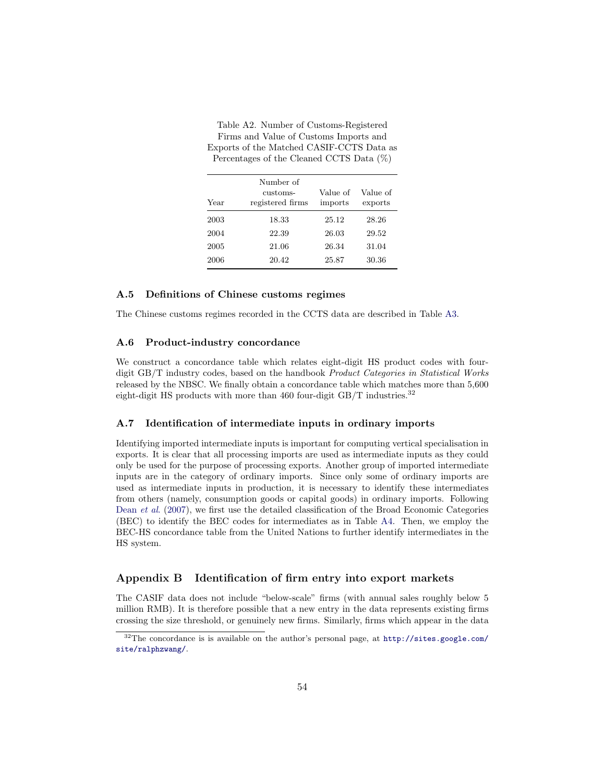| Year | Number of<br>customs-<br>registered firms | Value of<br>imports | Value of<br>exports |
|------|-------------------------------------------|---------------------|---------------------|
| 2003 | 18.33                                     | 25.12               | 28.26               |
| 2004 | 22.39                                     | 26.03               | 29.52               |
| 2005 | 21.06                                     | 26.34               | 31.04               |
| 2006 | 20.42                                     | 25.87               | 30.36               |

Table A2. Number of Customs-Registered Firms and Value of Customs Imports and Exports of the Matched CASIF-CCTS Data as Percentages of the Cleaned CCTS Data (%)

#### **A.5 Definitions of Chinese customs regimes**

The Chinese customs regimes recorded in the CCTS data are described in Table A3.

#### **A.6 Product-industry concordance**

We construct a concordance table which relates eight-digit HS product codes with fourdigit GB/T industry codes, based on the handbook *Product Categories in Statistical Works* released by the NBSC. We finally obtain a concordance table which matches more than 5,600 eight-digit HS products with more than 460 four-digit  $GB/T$  industries.<sup>32</sup>

#### **A.7 Identification of intermediate inputs in ordinary imports**

Identifying imported intermediate inputs is important for computing vertical specialisation in exports. It is clear that all processing imports are used as intermediate inputs as they could only be used for the purpose of processing exports. Another group of imported intermediate inputs are in the category of ordinary imports. Since only some of ordinary imports are used as intermediate inputs in production, it is necessary to identify these intermediates from others (namely, consumption goods or capital goods) in ordinary imports. Following Dean et al. (2007), we first use the detailed classification of the Broad Economic Categories (BEC) to identify the BEC codes for intermediates as in Table A4. Then, we employ the BEC-HS concordance table from the United Nations to further identify intermediates in the HS system.

## **Appendix B Identification of firm entry into export markets**

The CASIF data does not include "below-scale" firms (with annual sales roughly below 5 million RMB). It is therefore possible that a new entry in the data represents existing firms crossing the size threshold, or genuinely new firms. Similarly, firms which appear in the data

 $32$ The concordance is is available on the author's personal page, at http://sites.google.com/ site/ralphzwang/.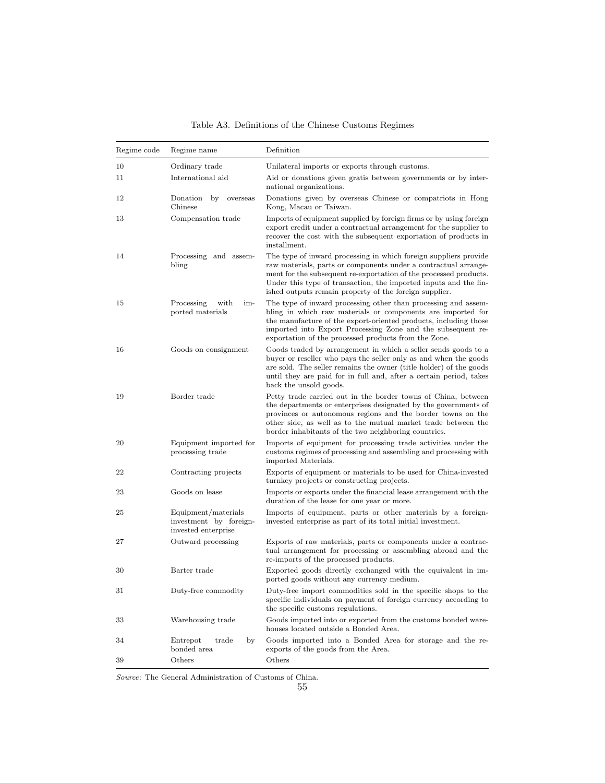| Regime code | Regime name                                                          | Definition                                                                                                                                                                                                                                                                                                                             |
|-------------|----------------------------------------------------------------------|----------------------------------------------------------------------------------------------------------------------------------------------------------------------------------------------------------------------------------------------------------------------------------------------------------------------------------------|
| 10          | Ordinary trade                                                       | Unilateral imports or exports through customs.                                                                                                                                                                                                                                                                                         |
| 11          | International aid                                                    | Aid or donations given gratis between governments or by inter-<br>national organizations.                                                                                                                                                                                                                                              |
| 12          | Donation<br>by<br>overseas<br>Chinese                                | Donations given by overseas Chinese or compatriots in Hong<br>Kong, Macau or Taiwan.                                                                                                                                                                                                                                                   |
| 13          | Compensation trade                                                   | Imports of equipment supplied by foreign firms or by using foreign<br>export credit under a contractual arrangement for the supplier to<br>recover the cost with the subsequent exportation of products in<br>installment.                                                                                                             |
| 14          | Processing and assem-<br>bling                                       | The type of inward processing in which foreign suppliers provide<br>raw materials, parts or components under a contractual arrange-<br>ment for the subsequent re-exportation of the processed products.<br>Under this type of transaction, the imported inputs and the fin-<br>ished outputs remain property of the foreign supplier. |
| 15          | with<br>Processing<br>im-<br>ported materials                        | The type of inward processing other than processing and assem-<br>bling in which raw materials or components are imported for<br>the manufacture of the export-oriented products, including those<br>imported into Export Processing Zone and the subsequent re-<br>exportation of the processed products from the Zone.               |
| 16          | Goods on consignment                                                 | Goods traded by arrangement in which a seller sends goods to a<br>buyer or reseller who pays the seller only as and when the goods<br>are sold. The seller remains the owner (title holder) of the goods<br>until they are paid for in full and, after a certain period, takes<br>back the unsold goods.                               |
| 19          | Border trade                                                         | Petty trade carried out in the border towns of China, between<br>the departments or enterprises designated by the governments of<br>provinces or autonomous regions and the border towns on the<br>other side, as well as to the mutual market trade between the<br>border inhabitants of the two neighboring countries.               |
| 20          | Equipment imported for<br>processing trade                           | Imports of equipment for processing trade activities under the<br>customs regimes of processing and assembling and processing with<br>imported Materials.                                                                                                                                                                              |
| 22          | Contracting projects                                                 | Exports of equipment or materials to be used for China-invested<br>turnkey projects or constructing projects.                                                                                                                                                                                                                          |
| 23          | Goods on lease                                                       | Imports or exports under the financial lease arrangement with the<br>duration of the lease for one year or more.                                                                                                                                                                                                                       |
| 25          | Equipment/materials<br>investment by foreign-<br>invested enterprise | Imports of equipment, parts or other materials by a foreign-<br>invested enterprise as part of its total initial investment.                                                                                                                                                                                                           |
| 27          | Outward processing                                                   | Exports of raw materials, parts or components under a contrac-<br>tual arrangement for processing or assembling abroad and the<br>re-imports of the processed products.                                                                                                                                                                |
| 30          | Barter trade                                                         | Exported goods directly exchanged with the equivalent in im-<br>ported goods without any currency medium.                                                                                                                                                                                                                              |
| 31          | Duty-free commodity                                                  | Duty-free import commodities sold in the specific shops to the<br>specific individuals on payment of foreign currency according to<br>the specific customs regulations.                                                                                                                                                                |
| 33          | Warehousing trade                                                    | Goods imported into or exported from the customs bonded ware-<br>houses located outside a Bonded Area.                                                                                                                                                                                                                                 |
| 34          | trade<br>Entrepot<br>by<br>bonded area                               | Goods imported into a Bonded Area for storage and the re-<br>exports of the goods from the Area.                                                                                                                                                                                                                                       |
| 39          | Others                                                               | Others                                                                                                                                                                                                                                                                                                                                 |

Table A3. Definitions of the Chinese Customs Regimes

Source: The General Administration of Customs of China.

55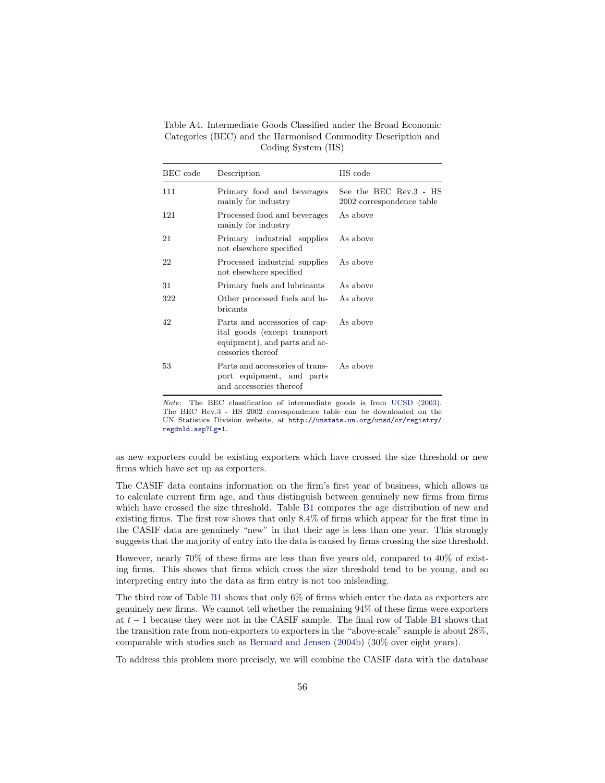Table A4. Intermediate Goods Classified under the Broad Economic Categories (BEC) and the Harmonised Commodity Description and Coding System (HS)

| BEC code | Description                                                                                                         | HS code                                             |
|----------|---------------------------------------------------------------------------------------------------------------------|-----------------------------------------------------|
| 111      | Primary food and beverages<br>mainly for industry                                                                   | See the BEC Rev.3 - HS<br>2002 correspondence table |
| 121      | Processed food and beverages<br>mainly for industry                                                                 | As above                                            |
| 21       | Primary industrial supplies<br>not elsewhere specified                                                              | As above                                            |
| 22       | Processed industrial supplies<br>not elsewhere specified                                                            | As above                                            |
| 31       | Primary fuels and lubricants                                                                                        | As above                                            |
| 322      | Other processed fuels and lu- As above<br>bricants                                                                  |                                                     |
| 42       | Parts and accessories of cap-<br>ital goods (except transport<br>equipment), and parts and ac-<br>cessories thereof | As above                                            |
| 53       | Parts and accessories of trans- As above<br>port equipment, and parts<br>and accessories thereof                    |                                                     |

Note: The BEC classification of intermediate goods is from UCSD (2003). The BEC Rev.3 - HS 2002 correspondence table can be downloaded on the UN Statistics Division website, at http://unstats.un.org/unsd/cr/registry/ regdnld.asp?Lg=1.

as new exporters could be existing exporters which have crossed the size threshold or new firms which have set up as exporters.

The CASIF data contains information on the firm's first year of business, which allows us to calculate current firm age, and thus distinguish between genuinely new firms from firms which have crossed the size threshold. Table B1 compares the age distribution of new and existing firms. The first row shows that only 8.4% of firms which appear for the first time in the CASIF data are genuinely "new" in that their age is less than one year. This strongly suggests that the majority of entry into the data is caused by firms crossing the size threshold.

However, nearly 70% of these firms are less than five years old, compared to 40% of existing firms. This shows that firms which cross the size threshold tend to be young, and so interpreting entry into the data as firm entry is not too misleading.

The third row of Table B1 shows that only 6% of firms which enter the data as exporters are genuinely new firms. We cannot tell whether the remaining 94% of these firms were exporters at  $t-1$  because they were not in the CASIF sample. The final row of Table B1 shows that the transition rate from non-exporters to exporters in the "above-scale" sample is about 28%, comparable with studies such as Bernard and Jensen (2004b) (30% over eight years).

To address this problem more precisely, we will combine the CASIF data with the database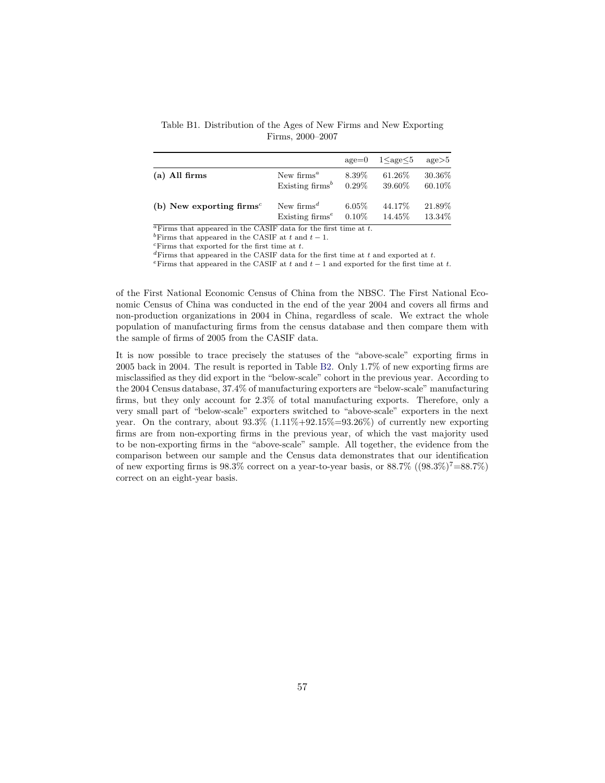Table B1. Distribution of the Ages of New Firms and New Exporting Firms, 2000–2007

|                                                   |                                     | $a$ ge=0 | $1 \leq$ age $\leq 5$ | $\text{age} > 5$ |
|---------------------------------------------------|-------------------------------------|----------|-----------------------|------------------|
| $(a)$ All firms                                   | New firms <sup><math>a</math></sup> | 8.39\%   | 61.26\%               | 30.36\%          |
|                                                   | Existing $\text{firms}^b$           | $0.29\%$ | 39.60%                | 60.10\%          |
| (b) New exporting firms <sup><math>c</math></sup> | New firms <sup><math>d</math></sup> | $6.05\%$ | 44.17%                | 21.89%           |
|                                                   | Existing $firms^e$                  | $0.10\%$ | 14.45\%               | 13.34\%          |

 $a$ Firms that appeared in the CASIF data for the first time at  $t$ .

<sup>b</sup>Firms that appeared in the CASIF at  $t$  and  $t-1$ .<br><sup>c</sup>Firms that exported for the first time at  $t$ .

 ${}^{d}$ Firms that appeared in the CASIF data for the first time at  $t$  and exported at  $t$ .

Firms that appeared in the CASIF at t and  $t-1$  and exported for the first time at t.

of the First National Economic Census of China from the NBSC. The First National Economic Census of China was conducted in the end of the year 2004 and covers all firms and non-production organizations in 2004 in China, regardless of scale. We extract the whole population of manufacturing firms from the census database and then compare them with the sample of firms of 2005 from the CASIF data.

It is now possible to trace precisely the statuses of the "above-scale" exporting firms in 2005 back in 2004. The result is reported in Table B2. Only 1.7% of new exporting firms are misclassified as they did export in the "below-scale" cohort in the previous year. According to the 2004 Census database, 37.4% of manufacturing exporters are "below-scale" manufacturing firms, but they only account for 2.3% of total manufacturing exports. Therefore, only a very small part of "below-scale" exporters switched to "above-scale" exporters in the next year. On the contrary, about  $93.3\%$   $(1.11\% + 92.15\% = 93.26\%)$  of currently new exporting firms are from non-exporting firms in the previous year, of which the vast majority used to be non-exporting firms in the "above-scale" sample. All together, the evidence from the comparison between our sample and the Census data demonstrates that our identification of new exporting firms is 98.3% correct on a year-to-year basis, or  $88.7\%$  ( $(98.3\%)^7 = 88.7\%$ ) correct on an eight-year basis.